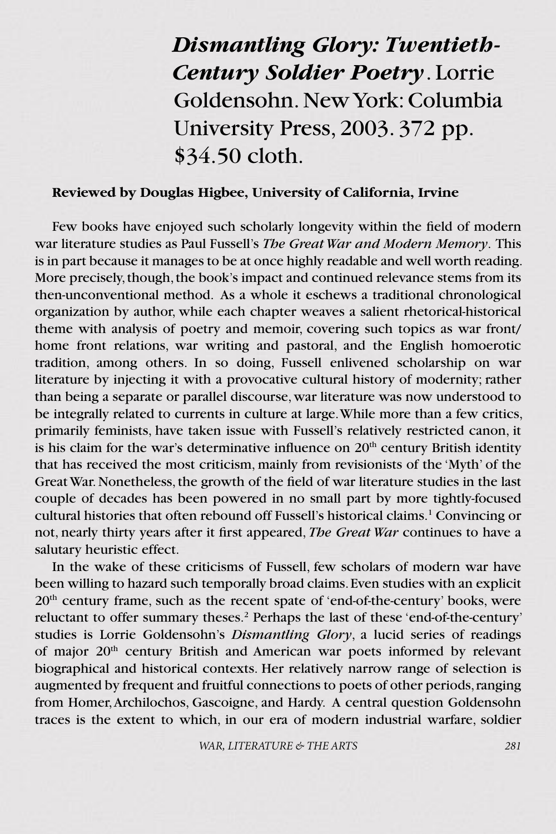*Dismantling Glory: Twentieth-Century Soldier Poetry*. Lorrie Goldensohn. New York: Columbia University Press, 2003. 372 pp. \$34.50 cloth.

### **Reviewed by Douglas Higbee, University of California, Irvine**

Few books have enjoyed such scholarly longevity within the field of modern war literature studies as Paul Fussell's *The Great War and Modern Memory*. This is in part because it manages to be at once highly readable and well worth reading. More precisely, though, the book's impact and continued relevance stems from its then-unconventional method. As a whole it eschews a traditional chronological organization by author, while each chapter weaves a salient rhetorical-historical theme with analysis of poetry and memoir, covering such topics as war front/ home front relations, war writing and pastoral, and the English homoerotic tradition, among others. In so doing, Fussell enlivened scholarship on war literature by injecting it with a provocative cultural history of modernity; rather than being a separate or parallel discourse, war literature was now understood to be integrally related to currents in culture at large. While more than a few critics, primarily feminists, have taken issue with Fussell's relatively restricted canon, it is his claim for the war's determinative influence on  $20<sup>th</sup>$  century British identity that has received the most criticism, mainly from revisionists of the 'Myth' of the Great War. Nonetheless, the growth of the field of war literature studies in the last couple of decades has been powered in no small part by more tightly-focused cultural histories that often rebound off Fussell's historical claims.<sup>1</sup> Convincing or not, nearly thirty years after it first appeared, *The Great War* continues to have a salutary heuristic effect.

In the wake of these criticisms of Fussell, few scholars of modern war have been willing to hazard such temporally broad claims. Even studies with an explicit  $20<sup>th</sup>$  century frame, such as the recent spate of 'end-of-the-century' books, were reluctant to offer summary theses.<sup>2</sup> Perhaps the last of these 'end-of-the-century' studies is Lorrie Goldensohn's *Dismantling Glory*, a lucid series of readings of major 20th century British and American war poets informed by relevant biographical and historical contexts. Her relatively narrow range of selection is augmented by frequent and fruitful connections to poets of other periods, ranging from Homer, Archilochos, Gascoigne, and Hardy. A central question Goldensohn traces is the extent to which, in our era of modern industrial warfare, soldier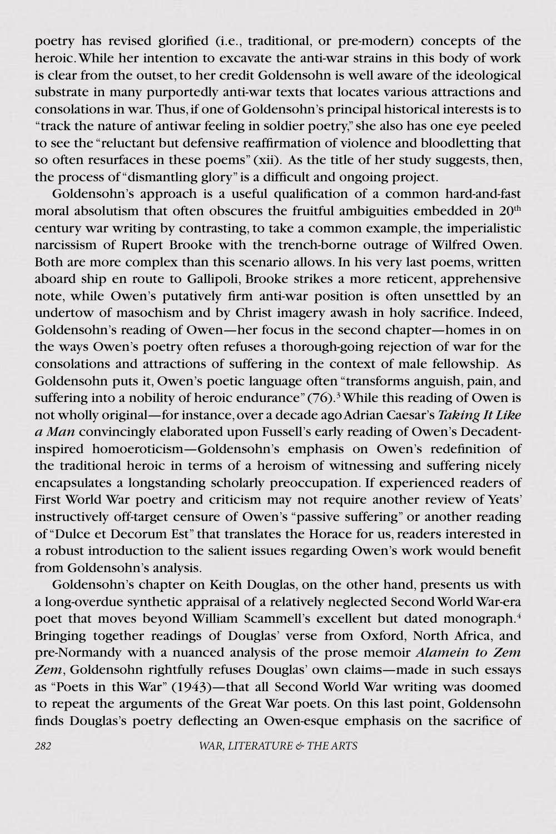poetry has revised glorified (i.e., traditional, or pre-modern) concepts of the heroic. While her intention to excavate the anti-war strains in this body of work is clear from the outset, to her credit Goldensohn is well aware of the ideological substrate in many purportedly anti-war texts that locates various attractions and consolations in war. Thus, if one of Goldensohn's principal historical interests is to "track the nature of antiwar feeling in soldier poetry," she also has one eye peeled to see the "reluctant but defensive reaffirmation of violence and bloodletting that so often resurfaces in these poems" (xii). As the title of her study suggests, then, the process of "dismantling glory" is a difficult and ongoing project.

Goldensohn's approach is a useful qualification of a common hard-and-fast moral absolutism that often obscures the fruitful ambiguities embedded in 20<sup>th</sup> century war writing by contrasting, to take a common example, the imperialistic narcissism of Rupert Brooke with the trench-borne outrage of Wilfred Owen. Both are more complex than this scenario allows. In his very last poems, written aboard ship en route to Gallipoli, Brooke strikes a more reticent, apprehensive note, while Owen's putatively firm anti-war position is often unsettled by an undertow of masochism and by Christ imagery awash in holy sacrifice. Indeed, Goldensohn's reading of Owen—her focus in the second chapter—homes in on the ways Owen's poetry often refuses a thorough-going rejection of war for the consolations and attractions of suffering in the context of male fellowship. As Goldensohn puts it, Owen's poetic language often "transforms anguish, pain, and suffering into a nobility of heroic endurance"  $(76)$ .<sup>3</sup> While this reading of Owen is not wholly original—for instance, over a decade ago Adrian Caesar's *Taking It Like a Man* convincingly elaborated upon Fussell's early reading of Owen's Decadentinspired homoeroticism—Goldensohn's emphasis on Owen's redefinition of the traditional heroic in terms of a heroism of witnessing and suffering nicely encapsulates a longstanding scholarly preoccupation. If experienced readers of First World War poetry and criticism may not require another review of Yeats' instructively off-target censure of Owen's "passive suffering" or another reading of "Dulce et Decorum Est" that translates the Horace for us, readers interested in a robust introduction to the salient issues regarding Owen's work would benefit from Goldensohn's analysis.

Goldensohn's chapter on Keith Douglas, on the other hand, presents us with a long-overdue synthetic appraisal of a relatively neglected Second World War-era poet that moves beyond William Scammell's excellent but dated monograph.4 Bringing together readings of Douglas' verse from Oxford, North Africa, and pre-Normandy with a nuanced analysis of the prose memoir *Alamein to Zem Zem*, Goldensohn rightfully refuses Douglas' own claims—made in such essays as "Poets in this War" (1943)—that all Second World War writing was doomed to repeat the arguments of the Great War poets. On this last point, Goldensohn finds Douglas's poetry deflecting an Owen-esque emphasis on the sacrifice of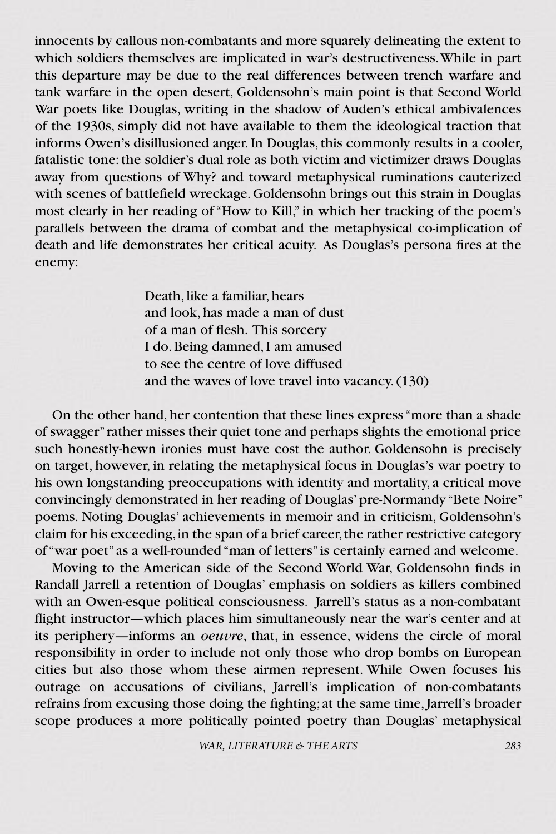innocents by callous non-combatants and more squarely delineating the extent to which soldiers themselves are implicated in war's destructiveness. While in part this departure may be due to the real differences between trench warfare and tank warfare in the open desert, Goldensohn's main point is that Second World War poets like Douglas, writing in the shadow of Auden's ethical ambivalences of the 1930s, simply did not have available to them the ideological traction that informs Owen's disillusioned anger. In Douglas, this commonly results in a cooler, fatalistic tone: the soldier's dual role as both victim and victimizer draws Douglas away from questions of Why? and toward metaphysical ruminations cauterized with scenes of battlefield wreckage. Goldensohn brings out this strain in Douglas most clearly in her reading of "How to Kill," in which her tracking of the poem's parallels between the drama of combat and the metaphysical co-implication of death and life demonstrates her critical acuity. As Douglas's persona fires at the enemy:

> Death, like a familiar, hears and look, has made a man of dust of a man of flesh. This sorcery I do. Being damned, I am amused to see the centre of love diffused and the waves of love travel into vacancy. (130)

On the other hand, her contention that these lines express "more than a shade of swagger" rather misses their quiet tone and perhaps slights the emotional price such honestly-hewn ironies must have cost the author. Goldensohn is precisely on target, however, in relating the metaphysical focus in Douglas's war poetry to his own longstanding preoccupations with identity and mortality, a critical move convincingly demonstrated in her reading of Douglas' pre-Normandy "Bete Noire" poems. Noting Douglas' achievements in memoir and in criticism, Goldensohn's claim for his exceeding, in the span of a brief career, the rather restrictive category of "war poet" as a well-rounded "man of letters" is certainly earned and welcome.

Moving to the American side of the Second World War, Goldensohn finds in Randall Jarrell a retention of Douglas' emphasis on soldiers as killers combined with an Owen-esque political consciousness. Jarrell's status as a non-combatant flight instructor—which places him simultaneously near the war's center and at its periphery—informs an *oeuvre*, that, in essence, widens the circle of moral responsibility in order to include not only those who drop bombs on European cities but also those whom these airmen represent. While Owen focuses his outrage on accusations of civilians, Jarrell's implication of non-combatants refrains from excusing those doing the fighting; at the same time, Jarrell's broader scope produces a more politically pointed poetry than Douglas' metaphysical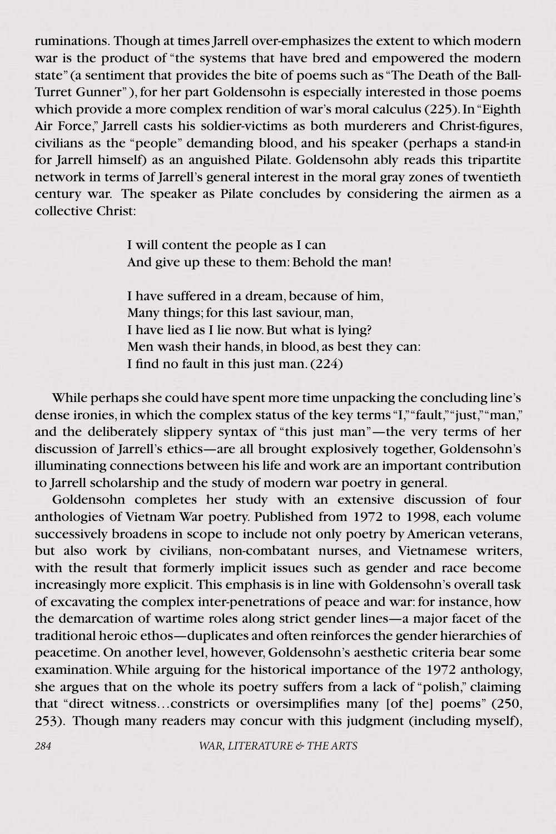ruminations. Though at times Jarrell over-emphasizes the extent to which modern war is the product of "the systems that have bred and empowered the modern state" (a sentiment that provides the bite of poems such as "The Death of the Ball-Turret Gunner" ), for her part Goldensohn is especially interested in those poems which provide a more complex rendition of war's moral calculus (225). In "Eighth Air Force," Jarrell casts his soldier-victims as both murderers and Christ-figures, civilians as the "people" demanding blood, and his speaker (perhaps a stand-in for Jarrell himself) as an anguished Pilate. Goldensohn ably reads this tripartite network in terms of Jarrell's general interest in the moral gray zones of twentieth century war. The speaker as Pilate concludes by considering the airmen as a collective Christ:

> I will content the people as I can And give up these to them: Behold the man!

I have suffered in a dream, because of him, Many things; for this last saviour, man, I have lied as I lie now. But what is lying? Men wash their hands, in blood, as best they can: I find no fault in this just man. (224)

While perhaps she could have spent more time unpacking the concluding line's dense ironies, in which the complex status of the key terms "I," "fault," "just," "man," and the deliberately slippery syntax of "this just man"—the very terms of her discussion of Jarrell's ethics—are all brought explosively together, Goldensohn's illuminating connections between his life and work are an important contribution to Jarrell scholarship and the study of modern war poetry in general.

Goldensohn completes her study with an extensive discussion of four anthologies of Vietnam War poetry. Published from 1972 to 1998, each volume successively broadens in scope to include not only poetry by American veterans, but also work by civilians, non-combatant nurses, and Vietnamese writers, with the result that formerly implicit issues such as gender and race become increasingly more explicit. This emphasis is in line with Goldensohn's overall task of excavating the complex inter-penetrations of peace and war: for instance, how the demarcation of wartime roles along strict gender lines—a major facet of the traditional heroic ethos—duplicates and often reinforces the gender hierarchies of peacetime. On another level, however, Goldensohn's aesthetic criteria bear some examination. While arguing for the historical importance of the 1972 anthology, she argues that on the whole its poetry suffers from a lack of "polish," claiming that "direct witness…constricts or oversimplifies many [of the] poems" (250, 253). Though many readers may concur with this judgment (including myself),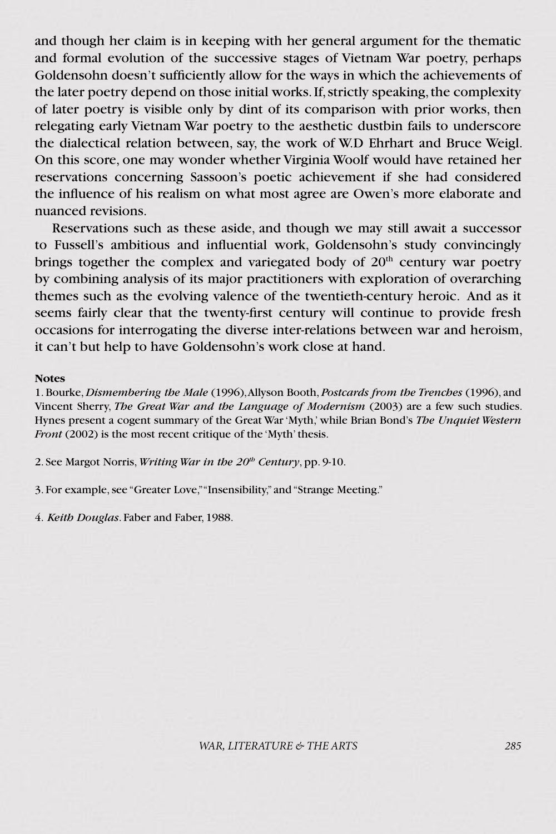and though her claim is in keeping with her general argument for the thematic and formal evolution of the successive stages of Vietnam War poetry, perhaps Goldensohn doesn't sufficiently allow for the ways in which the achievements of the later poetry depend on those initial works. If, strictly speaking, the complexity of later poetry is visible only by dint of its comparison with prior works, then relegating early Vietnam War poetry to the aesthetic dustbin fails to underscore the dialectical relation between, say, the work of W.D Ehrhart and Bruce Weigl. On this score, one may wonder whether Virginia Woolf would have retained her reservations concerning Sassoon's poetic achievement if she had considered the influence of his realism on what most agree are Owen's more elaborate and nuanced revisions.

Reservations such as these aside, and though we may still await a successor to Fussell's ambitious and influential work, Goldensohn's study convincingly brings together the complex and variegated body of  $20<sup>th</sup>$  century war poetry by combining analysis of its major practitioners with exploration of overarching themes such as the evolving valence of the twentieth-century heroic. And as it seems fairly clear that the twenty-first century will continue to provide fresh occasions for interrogating the diverse inter-relations between war and heroism, it can't but help to have Goldensohn's work close at hand.

#### **Notes**

1. Bourke, *Dismembering the Male* (1996), Allyson Booth, *Postcards from the Trenches* (1996), and Vincent Sherry, *The Great War and the Language of Modernism* (2003) are a few such studies. Hynes present a cogent summary of the Great War 'Myth,' while Brian Bond's *The Unquiet Western Front* (2002) is the most recent critique of the 'Myth' thesis.

2. See Margot Norris, *Writing War in the 20th Century*, pp. 9-10.

3. For example, see "Greater Love," "Insensibility," and "Strange Meeting."

4. *Keith Douglas*. Faber and Faber, 1988.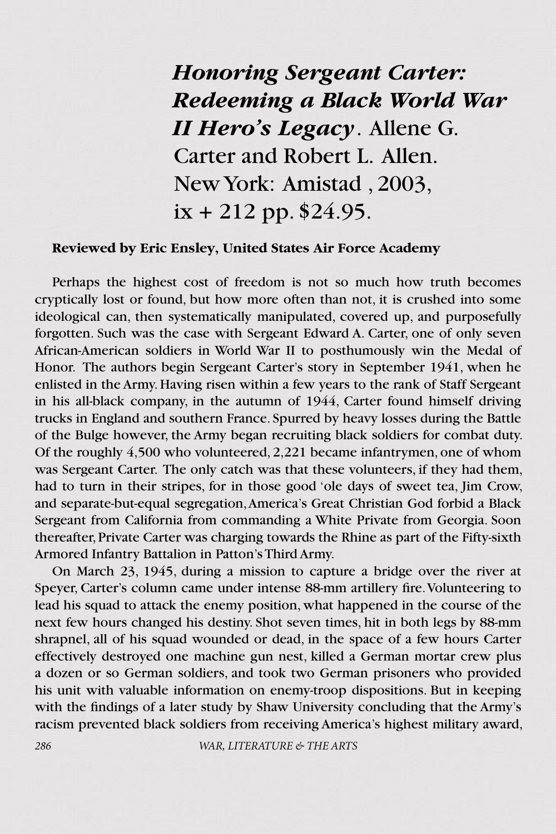*Honoring Sergeant Carter: Redeeming a Black World War II Hero's Legacy*. Allene G. Carter and Robert L. Allen. New York: Amistad , 2003,  $ix + 212$  pp. \$24.95.

### **Reviewed by Eric Ensley, United States Air Force Academy**

Perhaps the highest cost of freedom is not so much how truth becomes cryptically lost or found, but how more often than not, it is crushed into some ideological can, then systematically manipulated, covered up, and purposefully forgotten. Such was the case with Sergeant Edward A. Carter, one of only seven African-American soldiers in World War II to posthumously win the Medal of Honor. The authors begin Sergeant Carter's story in September 1941, when he enlisted in the Army. Having risen within a few years to the rank of Staff Sergeant in his all-black company, in the autumn of 1944, Carter found himself driving trucks in England and southern France. Spurred by heavy losses during the Battle of the Bulge however, the Army began recruiting black soldiers for combat duty. Of the roughly 4,500 who volunteered, 2,221 became infantrymen, one of whom was Sergeant Carter. The only catch was that these volunteers, if they had them, had to turn in their stripes, for in those good 'ole days of sweet tea, Jim Crow, and separate-but-equal segregation, America's Great Christian God forbid a Black Sergeant from California from commanding a White Private from Georgia. Soon thereafter, Private Carter was charging towards the Rhine as part of the Fifty-sixth Armored Infantry Battalion in Patton's Third Army.

On March 23, 1945, during a mission to capture a bridge over the river at Speyer, Carter's column came under intense 88-mm artillery fire. Volunteering to lead his squad to attack the enemy position, what happened in the course of the next few hours changed his destiny. Shot seven times, hit in both legs by 88-mm shrapnel, all of his squad wounded or dead, in the space of a few hours Carter effectively destroyed one machine gun nest, killed a German mortar crew plus a dozen or so German soldiers, and took two German prisoners who provided his unit with valuable information on enemy-troop dispositions. But in keeping with the findings of a later study by Shaw University concluding that the Army's racism prevented black soldiers from receiving America's highest military award,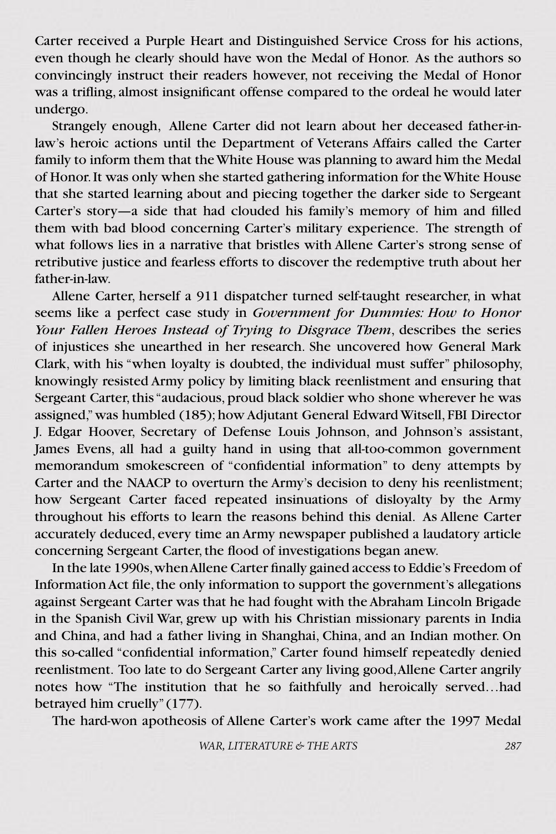Carter received a Purple Heart and Distinguished Service Cross for his actions, even though he clearly should have won the Medal of Honor. As the authors so convincingly instruct their readers however, not receiving the Medal of Honor was a trifling, almost insignificant offense compared to the ordeal he would later undergo.

Strangely enough, Allene Carter did not learn about her deceased father-inlaw's heroic actions until the Department of Veterans Affairs called the Carter family to inform them that the White House was planning to award him the Medal of Honor. It was only when she started gathering information for the White House that she started learning about and piecing together the darker side to Sergeant Carter's story—a side that had clouded his family's memory of him and filled them with bad blood concerning Carter's military experience. The strength of what follows lies in a narrative that bristles with Allene Carter's strong sense of retributive justice and fearless efforts to discover the redemptive truth about her father-in-law.

Allene Carter, herself a 911 dispatcher turned self-taught researcher, in what seems like a perfect case study in *Government for Dummies: How to Honor Your Fallen Heroes Instead of Trying to Disgrace Them*, describes the series of injustices she unearthed in her research. She uncovered how General Mark Clark, with his "when loyalty is doubted, the individual must suffer" philosophy, knowingly resisted Army policy by limiting black reenlistment and ensuring that Sergeant Carter, this "audacious, proud black soldier who shone wherever he was assigned," was humbled (185); how Adjutant General Edward Witsell, FBI Director J. Edgar Hoover, Secretary of Defense Louis Johnson, and Johnson's assistant, James Evens, all had a guilty hand in using that all-too-common government memorandum smokescreen of "confidential information" to deny attempts by Carter and the NAACP to overturn the Army's decision to deny his reenlistment; how Sergeant Carter faced repeated insinuations of disloyalty by the Army throughout his efforts to learn the reasons behind this denial. As Allene Carter accurately deduced, every time an Army newspaper published a laudatory article concerning Sergeant Carter, the flood of investigations began anew.

In the late 1990s, when Allene Carter finally gained access to Eddie's Freedom of Information Act file, the only information to support the government's allegations against Sergeant Carter was that he had fought with the Abraham Lincoln Brigade in the Spanish Civil War, grew up with his Christian missionary parents in India and China, and had a father living in Shanghai, China, and an Indian mother. On this so-called "confidential information," Carter found himself repeatedly denied reenlistment. Too late to do Sergeant Carter any living good, Allene Carter angrily notes how "The institution that he so faithfully and heroically served…had betrayed him cruelly" (177).

The hard-won apotheosis of Allene Carter's work came after the 1997 Medal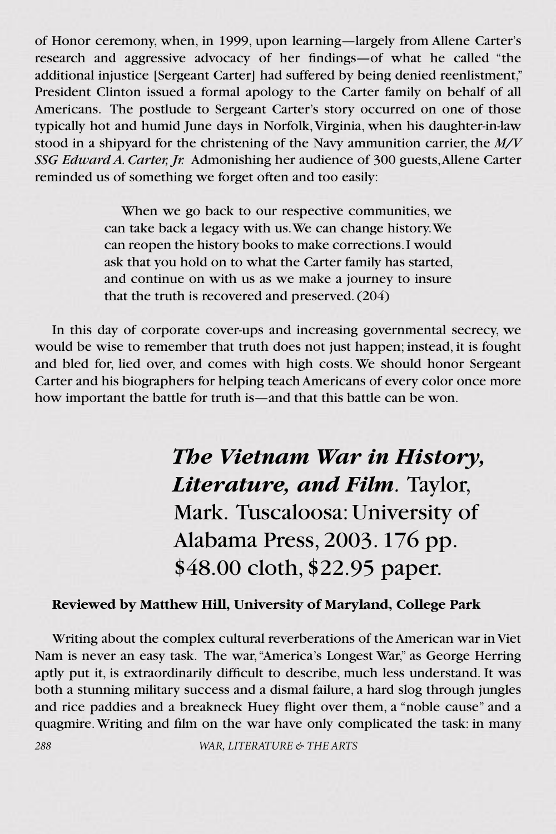of Honor ceremony, when, in 1999, upon learning—largely from Allene Carter's research and aggressive advocacy of her findings—of what he called "the additional injustice [Sergeant Carter] had suffered by being denied reenlistment," President Clinton issued a formal apology to the Carter family on behalf of all Americans. The postlude to Sergeant Carter's story occurred on one of those typically hot and humid June days in Norfolk, Virginia, when his daughter-in-law stood in a shipyard for the christening of the Navy ammunition carrier, the *M/V SSG Edward A. Carter, Jr.* Admonishing her audience of 300 guests, Allene Carter reminded us of something we forget often and too easily:

> When we go back to our respective communities, we can take back a legacy with us. We can change history. We can reopen the history books to make corrections. I would ask that you hold on to what the Carter family has started, and continue on with us as we make a journey to insure that the truth is recovered and preserved. (204)

In this day of corporate cover-ups and increasing governmental secrecy, we would be wise to remember that truth does not just happen; instead, it is fought and bled for, lied over, and comes with high costs. We should honor Sergeant Carter and his biographers for helping teach Americans of every color once more how important the battle for truth is—and that this battle can be won.

> *The Vietnam War in History, Literature, and Film.* Taylor, Mark. Tuscaloosa: University of Alabama Press, 2003. 176 pp. \$48.00 cloth, \$22.95 paper.

#### **Reviewed by Matthew Hill, University of Maryland, College Park**

Writing about the complex cultural reverberations of the American war in Viet Nam is never an easy task. The war, "America's Longest War," as George Herring aptly put it, is extraordinarily difficult to describe, much less understand. It was both a stunning military success and a dismal failure, a hard slog through jungles and rice paddies and a breakneck Huey flight over them, a "noble cause" and a quagmire. Writing and film on the war have only complicated the task: in many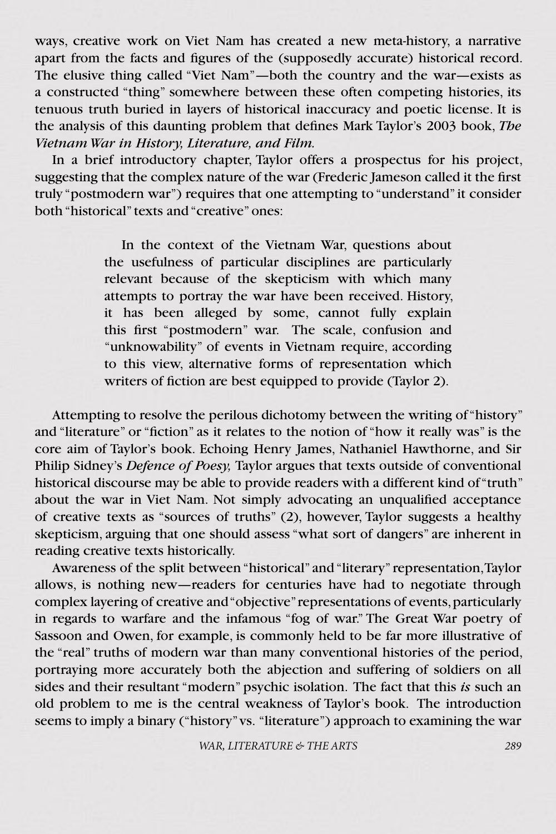ways, creative work on Viet Nam has created a new meta-history, a narrative apart from the facts and figures of the (supposedly accurate) historical record. The elusive thing called "Viet Nam"—both the country and the war—exists as a constructed "thing" somewhere between these often competing histories, its tenuous truth buried in layers of historical inaccuracy and poetic license. It is the analysis of this daunting problem that defines Mark Taylor's 2003 book, *The Vietnam War in History, Literature, and Film.* 

In a brief introductory chapter, Taylor offers a prospectus for his project, suggesting that the complex nature of the war (Frederic Jameson called it the first truly "postmodern war") requires that one attempting to "understand" it consider both "historical" texts and "creative" ones:

> In the context of the Vietnam War, questions about the usefulness of particular disciplines are particularly relevant because of the skepticism with which many attempts to portray the war have been received. History, it has been alleged by some, cannot fully explain this first "postmodern" war. The scale, confusion and "unknowability" of events in Vietnam require, according to this view, alternative forms of representation which writers of fiction are best equipped to provide (Taylor 2).

Attempting to resolve the perilous dichotomy between the writing of "history" and "literature" or "fiction" as it relates to the notion of "how it really was" is the core aim of Taylor's book. Echoing Henry James, Nathaniel Hawthorne, and Sir Philip Sidney's *Defence of Poesy,* Taylor argues that texts outside of conventional historical discourse may be able to provide readers with a different kind of "truth" about the war in Viet Nam. Not simply advocating an unqualified acceptance of creative texts as "sources of truths" (2), however, Taylor suggests a healthy skepticism, arguing that one should assess "what sort of dangers" are inherent in reading creative texts historically.

Awareness of the split between "historical" and "literary" representation, Taylor allows, is nothing new—readers for centuries have had to negotiate through complex layering of creative and "objective" representations of events, particularly in regards to warfare and the infamous "fog of war." The Great War poetry of Sassoon and Owen, for example, is commonly held to be far more illustrative of the "real" truths of modern war than many conventional histories of the period, portraying more accurately both the abjection and suffering of soldiers on all sides and their resultant "modern" psychic isolation. The fact that this *is* such an old problem to me is the central weakness of Taylor's book. The introduction seems to imply a binary ("history" vs. "literature") approach to examining the war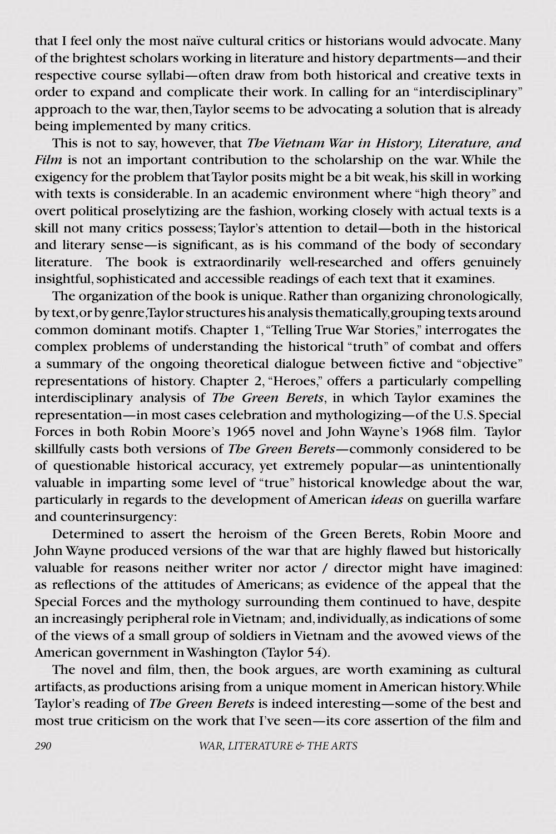that I feel only the most naïve cultural critics or historians would advocate. Many of the brightest scholars working in literature and history departments—and their respective course syllabi—often draw from both historical and creative texts in order to expand and complicate their work. In calling for an "interdisciplinary" approach to the war, then, Taylor seems to be advocating a solution that is already being implemented by many critics.

This is not to say, however, that *The Vietnam War in History, Literature, and Film* is not an important contribution to the scholarship on the war. While the exigency for the problem that Taylor posits might be a bit weak, his skill in working with texts is considerable. In an academic environment where "high theory" and overt political proselytizing are the fashion, working closely with actual texts is a skill not many critics possess; Taylor's attention to detail—both in the historical and literary sense—is significant, as is his command of the body of secondary literature. The book is extraordinarily well-researched and offers genuinely insightful, sophisticated and accessible readings of each text that it examines.

The organization of the book is unique. Rather than organizing chronologically, by text, or by genre, Taylor structures his analysis thematically, grouping texts around common dominant motifs. Chapter 1, "Telling True War Stories," interrogates the complex problems of understanding the historical "truth" of combat and offers a summary of the ongoing theoretical dialogue between fictive and "objective" representations of history. Chapter 2, "Heroes," offers a particularly compelling interdisciplinary analysis of *The Green Berets*, in which Taylor examines the representation—in most cases celebration and mythologizing—of the U.S. Special Forces in both Robin Moore's 1965 novel and John Wayne's 1968 film. Taylor skillfully casts both versions of *The Green Berets—*commonly considered to be of questionable historical accuracy, yet extremely popular—as unintentionally valuable in imparting some level of "true" historical knowledge about the war, particularly in regards to the development of American *ideas* on guerilla warfare and counterinsurgency:

Determined to assert the heroism of the Green Berets, Robin Moore and John Wayne produced versions of the war that are highly flawed but historically valuable for reasons neither writer nor actor / director might have imagined: as reflections of the attitudes of Americans; as evidence of the appeal that the Special Forces and the mythology surrounding them continued to have, despite an increasingly peripheral role in Vietnam; and, individually, as indications of some of the views of a small group of soldiers in Vietnam and the avowed views of the American government in Washington (Taylor 54).

The novel and film, then, the book argues, are worth examining as cultural artifacts, as productions arising from a unique moment in American history. While Taylor's reading of *The Green Berets* is indeed interesting—some of the best and most true criticism on the work that I've seen—its core assertion of the film and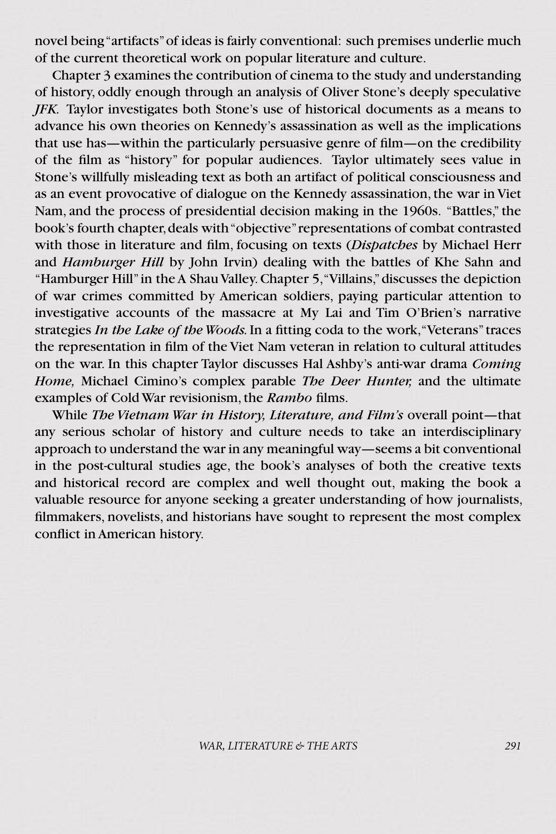novel being "artifacts" of ideas is fairly conventional: such premises underlie much of the current theoretical work on popular literature and culture.

Chapter 3 examines the contribution of cinema to the study and understanding of history, oddly enough through an analysis of Oliver Stone's deeply speculative *JFK.* Taylor investigates both Stone's use of historical documents as a means to advance his own theories on Kennedy's assassination as well as the implications that use has—within the particularly persuasive genre of film—on the credibility of the film as "history" for popular audiences. Taylor ultimately sees value in Stone's willfully misleading text as both an artifact of political consciousness and as an event provocative of dialogue on the Kennedy assassination, the war in Viet Nam, and the process of presidential decision making in the 1960s. "Battles," the book's fourth chapter, deals with "objective" representations of combat contrasted with those in literature and film, focusing on texts (*Dispatches* by Michael Herr and *Hamburger Hill* by John Irvin) dealing with the battles of Khe Sahn and "Hamburger Hill" in the A Shau Valley. Chapter 5, "Villains," discusses the depiction of war crimes committed by American soldiers, paying particular attention to investigative accounts of the massacre at My Lai and Tim O'Brien's narrative strategies *In the Lake of the Woods.* In a fitting coda to the work, "Veterans" traces the representation in film of the Viet Nam veteran in relation to cultural attitudes on the war. In this chapter Taylor discusses Hal Ashby's anti-war drama *Coming Home,* Michael Cimino's complex parable *The Deer Hunter,* and the ultimate examples of Cold War revisionism, the *Rambo* films.

While *The Vietnam War in History, Literature, and Film's* overall point—that any serious scholar of history and culture needs to take an interdisciplinary approach to understand the war in any meaningful way—seems a bit conventional in the post-cultural studies age, the book's analyses of both the creative texts and historical record are complex and well thought out, making the book a valuable resource for anyone seeking a greater understanding of how journalists, filmmakers, novelists, and historians have sought to represent the most complex conflict in American history.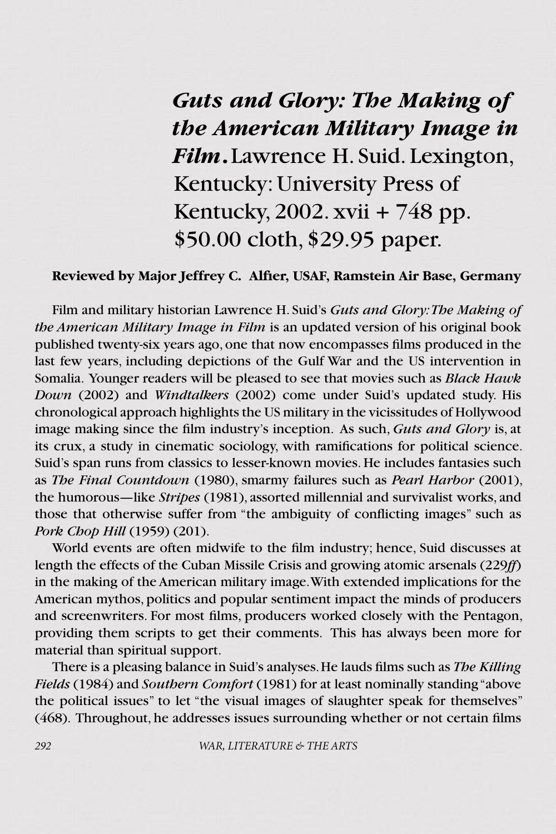*Guts and Glory: The Making of the American Military Image in Film***.**Lawrence H. Suid. Lexington, Kentucky: University Press of Kentucky, 2002. xvii + 748 pp. \$50.00 cloth, \$29.95 paper.

### **Reviewed by Major Jeffrey C. Alfier, USAF, Ramstein Air Base, Germany**

Film and military historian Lawrence H. Suid's *Guts and Glory: The Making of the American Military Image in Film* is an updated version of his original book published twenty-six years ago, one that now encompasses films produced in the last few years, including depictions of the Gulf War and the US intervention in Somalia. Younger readers will be pleased to see that movies such as *Black Hawk Down* (2002) and *Windtalkers* (2002) come under Suid's updated study. His chronological approach highlights the US military in the vicissitudes of Hollywood image making since the film industry's inception. As such, *Guts and Glory* is, at its crux, a study in cinematic sociology, with ramifications for political science. Suid's span runs from classics to lesser-known movies. He includes fantasies such as *The Final Countdown* (1980), smarmy failures such as *Pearl Harbor* (2001), the humorous—like *Stripes* (1981), assorted millennial and survivalist works, and those that otherwise suffer from "the ambiguity of conflicting images" such as *Pork Chop Hill* (1959) (201).

World events are often midwife to the film industry; hence, Suid discusses at length the effects of the Cuban Missile Crisis and growing atomic arsenals (229*ff*) in the making of the American military image. With extended implications for the American mythos, politics and popular sentiment impact the minds of producers and screenwriters. For most films, producers worked closely with the Pentagon, providing them scripts to get their comments. This has always been more for material than spiritual support.

There is a pleasing balance in Suid's analyses. He lauds films such as *The Killing Fields* (1984) and *Southern Comfort* (1981) for at least nominally standing "above the political issues" to let "the visual images of slaughter speak for themselves" (468). Throughout, he addresses issues surrounding whether or not certain films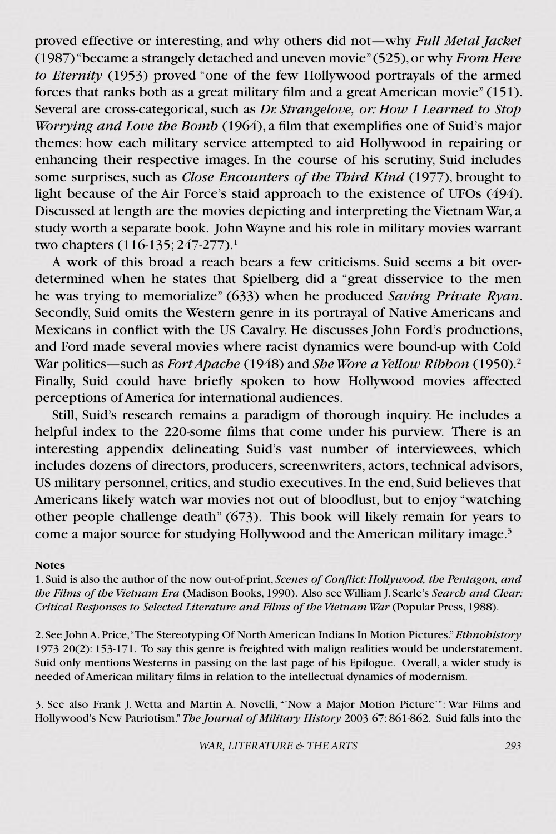proved effective or interesting, and why others did not—why *Full Metal Jacket* (1987) "became a strangely detached and uneven movie" (525), or why *From Here to Eternity* (1953) proved "one of the few Hollywood portrayals of the armed forces that ranks both as a great military film and a great American movie" (151). Several are cross-categorical, such as *Dr. Strangelove, or: How I Learned to Stop Worrying and Love the Bomb* (1964), a film that exemplifies one of Suid's major themes: how each military service attempted to aid Hollywood in repairing or enhancing their respective images. In the course of his scrutiny, Suid includes some surprises, such as *Close Encounters of the Third Kind* (1977), brought to light because of the Air Force's staid approach to the existence of UFOs (494). Discussed at length are the movies depicting and interpreting the Vietnam War, a study worth a separate book. John Wayne and his role in military movies warrant two chapters (116-135; 247-277).<sup>1</sup>

A work of this broad a reach bears a few criticisms. Suid seems a bit overdetermined when he states that Spielberg did a "great disservice to the men he was trying to memorialize" (633) when he produced *Saving Private Ryan*. Secondly, Suid omits the Western genre in its portrayal of Native Americans and Mexicans in conflict with the US Cavalry. He discusses John Ford's productions, and Ford made several movies where racist dynamics were bound-up with Cold War politics—such as *Fort Apache* (1948) and *She Wore a Yellow Ribbon* (1950).<sup>2</sup> Finally, Suid could have briefly spoken to how Hollywood movies affected perceptions of America for international audiences.

Still, Suid's research remains a paradigm of thorough inquiry. He includes a helpful index to the 220-some films that come under his purview. There is an interesting appendix delineating Suid's vast number of interviewees, which includes dozens of directors, producers, screenwriters, actors, technical advisors, US military personnel, critics, and studio executives. In the end, Suid believes that Americans likely watch war movies not out of bloodlust, but to enjoy "watching other people challenge death" (673). This book will likely remain for years to come a major source for studying Hollywood and the American military image.<sup>3</sup>

#### **Notes**

1. Suid is also the author of the now out-of-print, *Scenes of Conflict: Hollywood, the Pentagon, and the Films of the Vietnam Era* (Madison Books, 1990). Also see William J. Searle's *Search and Clear: Critical Responses to Selected Literature and Films of the Vietnam War* (Popular Press, 1988).

2. See John A. Price, "The Stereotyping Of North American Indians In Motion Pictures." *Ethnohistory* 1973 20(2): 153-171. To say this genre is freighted with malign realities would be understatement. Suid only mentions Westerns in passing on the last page of his Epilogue. Overall, a wider study is needed of American military films in relation to the intellectual dynamics of modernism.

3. See also Frank J. Wetta and Martin A. Novelli, "'Now a Major Motion Picture'": War Films and Hollywood's New Patriotism." *The Journal of Military History* 2003 67: 861-862. Suid falls into the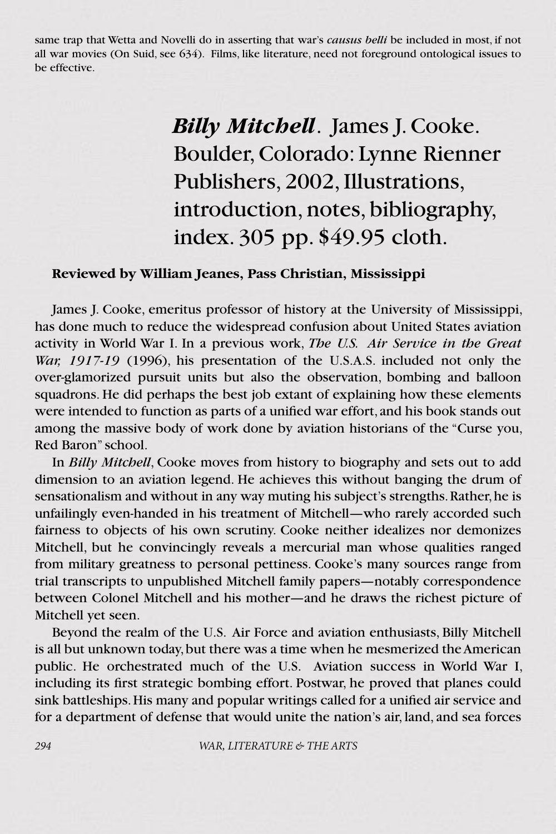same trap that Wetta and Novelli do in asserting that war's *causus belli* be included in most, if not all war movies (On Suid, see 634). Films, like literature, need not foreground ontological issues to be effective.

### *Billy Mitchell*. James J. Cooke. Boulder, Colorado: Lynne Rienner Publishers, 2002, Illustrations, introduction, notes, bibliography, index. 305 pp. \$49.95 cloth.

### **Reviewed by William Jeanes, Pass Christian, Mississippi**

James J. Cooke, emeritus professor of history at the University of Mississippi, has done much to reduce the widespread confusion about United States aviation activity in World War I. In a previous work, *The U.S. Air Service in the Great War, 1917-19* (1996), his presentation of the U.S.A.S. included not only the over-glamorized pursuit units but also the observation, bombing and balloon squadrons. He did perhaps the best job extant of explaining how these elements were intended to function as parts of a unified war effort, and his book stands out among the massive body of work done by aviation historians of the "Curse you, Red Baron" school.

In *Billy Mitchell*, Cooke moves from history to biography and sets out to add dimension to an aviation legend. He achieves this without banging the drum of sensationalism and without in any way muting his subject's strengths. Rather, he is unfailingly even-handed in his treatment of Mitchell—who rarely accorded such fairness to objects of his own scrutiny. Cooke neither idealizes nor demonizes Mitchell, but he convincingly reveals a mercurial man whose qualities ranged from military greatness to personal pettiness. Cooke's many sources range from trial transcripts to unpublished Mitchell family papers—notably correspondence between Colonel Mitchell and his mother—and he draws the richest picture of Mitchell yet seen.

Beyond the realm of the U.S. Air Force and aviation enthusiasts, Billy Mitchell is all but unknown today, but there was a time when he mesmerized the American public. He orchestrated much of the U.S. Aviation success in World War I, including its first strategic bombing effort. Postwar, he proved that planes could sink battleships. His many and popular writings called for a unified air service and for a department of defense that would unite the nation's air, land, and sea forces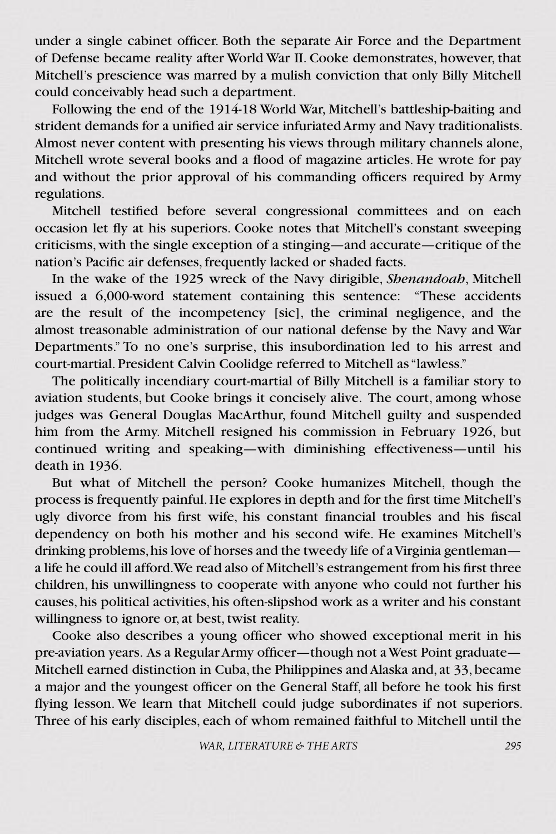under a single cabinet officer. Both the separate Air Force and the Department of Defense became reality after World War II. Cooke demonstrates, however, that Mitchell's prescience was marred by a mulish conviction that only Billy Mitchell could conceivably head such a department.

Following the end of the 1914-18 World War, Mitchell's battleship-baiting and strident demands for a unified air service infuriated Army and Navy traditionalists. Almost never content with presenting his views through military channels alone, Mitchell wrote several books and a flood of magazine articles. He wrote for pay and without the prior approval of his commanding officers required by Army regulations.

Mitchell testified before several congressional committees and on each occasion let fly at his superiors. Cooke notes that Mitchell's constant sweeping criticisms, with the single exception of a stinging—and accurate—critique of the nation's Pacific air defenses, frequently lacked or shaded facts.

In the wake of the 1925 wreck of the Navy dirigible, *Shenandoah*, Mitchell issued a 6,000-word statement containing this sentence: "These accidents are the result of the incompetency [sic], the criminal negligence, and the almost treasonable administration of our national defense by the Navy and War Departments." To no one's surprise, this insubordination led to his arrest and court-martial. President Calvin Coolidge referred to Mitchell as "lawless."

The politically incendiary court-martial of Billy Mitchell is a familiar story to aviation students, but Cooke brings it concisely alive. The court, among whose judges was General Douglas MacArthur, found Mitchell guilty and suspended him from the Army. Mitchell resigned his commission in February 1926, but continued writing and speaking—with diminishing effectiveness—until his death in 1936.

But what of Mitchell the person? Cooke humanizes Mitchell, though the process is frequently painful. He explores in depth and for the first time Mitchell's ugly divorce from his first wife, his constant financial troubles and his fiscal dependency on both his mother and his second wife. He examines Mitchell's drinking problems, his love of horses and the tweedy life of a Virginia gentleman a life he could ill afford. We read also of Mitchell's estrangement from his first three children, his unwillingness to cooperate with anyone who could not further his causes, his political activities, his often-slipshod work as a writer and his constant willingness to ignore or, at best, twist reality.

Cooke also describes a young officer who showed exceptional merit in his pre-aviation years. As a Regular Army officer—though not a West Point graduate— Mitchell earned distinction in Cuba, the Philippines and Alaska and, at 33, became a major and the youngest officer on the General Staff, all before he took his first flying lesson. We learn that Mitchell could judge subordinates if not superiors. Three of his early disciples, each of whom remained faithful to Mitchell until the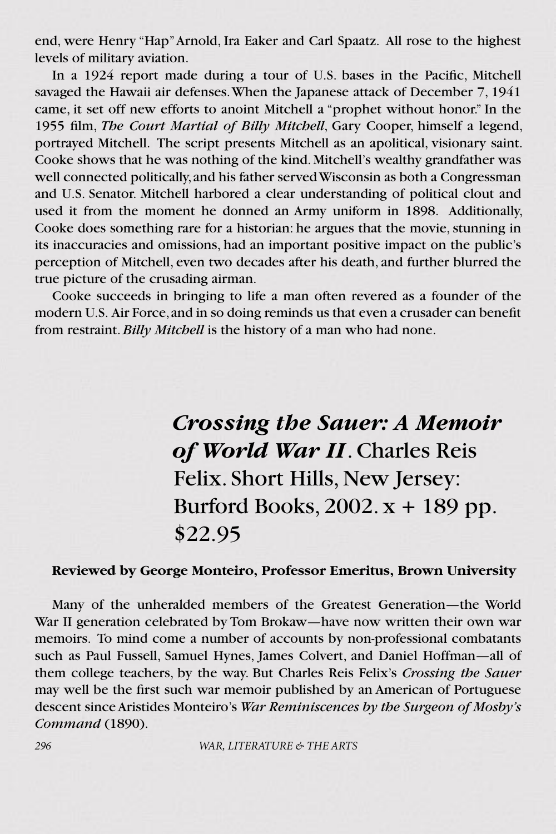end, were Henry "Hap" Arnold, Ira Eaker and Carl Spaatz. All rose to the highest levels of military aviation.

In a 1924 report made during a tour of U.S. bases in the Pacific, Mitchell savaged the Hawaii air defenses. When the Japanese attack of December 7, 1941 came, it set off new efforts to anoint Mitchell a "prophet without honor." In the 1955 film, *The Court Martial of Billy Mitchell*, Gary Cooper, himself a legend, portrayed Mitchell. The script presents Mitchell as an apolitical, visionary saint. Cooke shows that he was nothing of the kind. Mitchell's wealthy grandfather was well connected politically, and his father served Wisconsin as both a Congressman and U.S. Senator. Mitchell harbored a clear understanding of political clout and used it from the moment he donned an Army uniform in 1898. Additionally, Cooke does something rare for a historian: he argues that the movie, stunning in its inaccuracies and omissions, had an important positive impact on the public's perception of Mitchell, even two decades after his death, and further blurred the true picture of the crusading airman.

Cooke succeeds in bringing to life a man often revered as a founder of the modern U.S. Air Force, and in so doing reminds us that even a crusader can benefit from restraint. *Billy Mitchell* is the history of a man who had none.

> *Crossing the Sauer: A Memoir of World War II*. Charles Reis Felix. Short Hills, New Jersey: Burford Books,  $2002$ .  $x + 189$  pp. \$22.95

### **Reviewed by George Monteiro, Professor Emeritus, Brown University**

Many of the unheralded members of the Greatest Generation—the World War II generation celebrated by Tom Brokaw—have now written their own war memoirs. To mind come a number of accounts by non-professional combatants such as Paul Fussell, Samuel Hynes, James Colvert, and Daniel Hoffman—all of them college teachers, by the way. But Charles Reis Felix's *Crossing the Sauer* may well be the first such war memoir published by an American of Portuguese descent since Aristides Monteiro's *War Reminiscences by the Surgeon of Mosby's Command* (1890).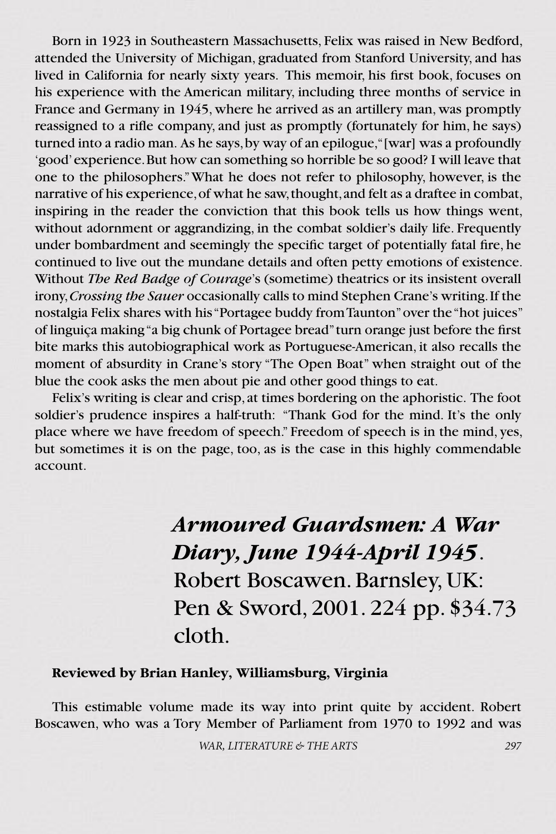Born in 1923 in Southeastern Massachusetts, Felix was raised in New Bedford, attended the University of Michigan, graduated from Stanford University, and has lived in California for nearly sixty years. This memoir, his first book, focuses on his experience with the American military, including three months of service in France and Germany in 1945, where he arrived as an artillery man, was promptly reassigned to a rifle company, and just as promptly (fortunately for him, he says) turned into a radio man. As he says, by way of an epilogue, "[war] was a profoundly 'good' experience. But how can something so horrible be so good? I will leave that one to the philosophers." What he does not refer to philosophy, however, is the narrative of his experience, of what he saw, thought, and felt as a draftee in combat, inspiring in the reader the conviction that this book tells us how things went, without adornment or aggrandizing, in the combat soldier's daily life. Frequently under bombardment and seemingly the specific target of potentially fatal fire, he continued to live out the mundane details and often petty emotions of existence. Without *The Red Badge of Courage*'s (sometime) theatrics or its insistent overall irony, *Crossing the Sauer* occasionally calls to mind Stephen Crane's writing. If the nostalgia Felix shares with his "Portagee buddy from Taunton" over the "hot juices" of linguiça making "a big chunk of Portagee bread" turn orange just before the first bite marks this autobiographical work as Portuguese-American, it also recalls the moment of absurdity in Crane's story "The Open Boat" when straight out of the blue the cook asks the men about pie and other good things to eat.

Felix's writing is clear and crisp, at times bordering on the aphoristic. The foot soldier's prudence inspires a half-truth: "Thank God for the mind. It's the only place where we have freedom of speech." Freedom of speech is in the mind, yes, but sometimes it is on the page, too, as is the case in this highly commendable account.

> *Armoured Guardsmen: A War Diary, June 1944-April 1945*. Robert Boscawen. Barnsley, UK: Pen & Sword, 2001. 224 pp. \$34.73 cloth.

#### **Reviewed by Brian Hanley, Williamsburg, Virginia**

This estimable volume made its way into print quite by accident. Robert Boscawen, who was a Tory Member of Parliament from 1970 to 1992 and was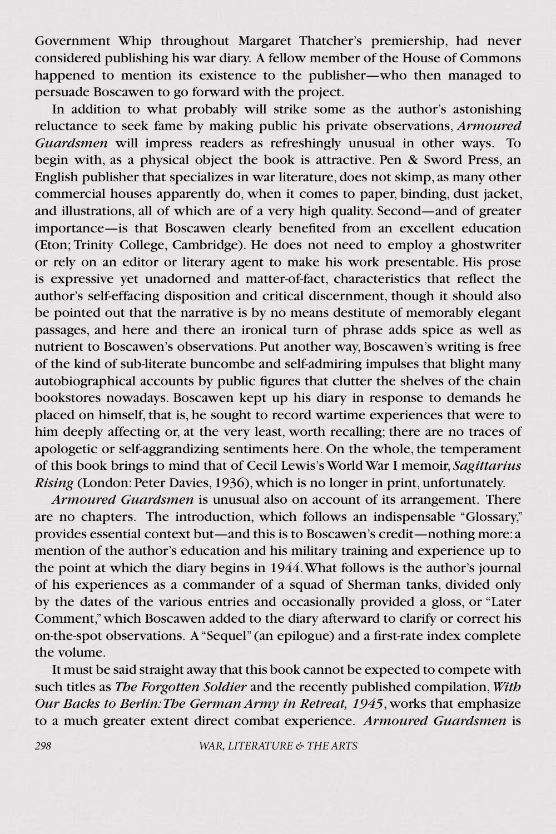Government Whip throughout Margaret Thatcher's premiership, had never considered publishing his war diary. A fellow member of the House of Commons happened to mention its existence to the publisher—who then managed to persuade Boscawen to go forward with the project.

In addition to what probably will strike some as the author's astonishing reluctance to seek fame by making public his private observations, *Armoured Guardsmen* will impress readers as refreshingly unusual in other ways. To begin with, as a physical object the book is attractive. Pen & Sword Press, an English publisher that specializes in war literature, does not skimp, as many other commercial houses apparently do, when it comes to paper, binding, dust jacket, and illustrations, all of which are of a very high quality. Second—and of greater importance—is that Boscawen clearly benefited from an excellent education (Eton; Trinity College, Cambridge). He does not need to employ a ghostwriter or rely on an editor or literary agent to make his work presentable. His prose is expressive yet unadorned and matter-of-fact, characteristics that reflect the author's self-effacing disposition and critical discernment, though it should also be pointed out that the narrative is by no means destitute of memorably elegant passages, and here and there an ironical turn of phrase adds spice as well as nutrient to Boscawen's observations. Put another way, Boscawen's writing is free of the kind of sub-literate buncombe and self-admiring impulses that blight many autobiographical accounts by public figures that clutter the shelves of the chain bookstores nowadays. Boscawen kept up his diary in response to demands he placed on himself, that is, he sought to record wartime experiences that were to him deeply affecting or, at the very least, worth recalling; there are no traces of apologetic or self-aggrandizing sentiments here. On the whole, the temperament of this book brings to mind that of Cecil Lewis's World War I memoir, *Sagittarius Rising* (London: Peter Davies, 1936), which is no longer in print, unfortunately.

*Armoured Guardsmen* is unusual also on account of its arrangement. There are no chapters. The introduction, which follows an indispensable "Glossary," provides essential context but—and this is to Boscawen's credit—nothing more: a mention of the author's education and his military training and experience up to the point at which the diary begins in 1944. What follows is the author's journal of his experiences as a commander of a squad of Sherman tanks, divided only by the dates of the various entries and occasionally provided a gloss, or "Later Comment," which Boscawen added to the diary afterward to clarify or correct his on-the-spot observations. A "Sequel" (an epilogue) and a first-rate index complete the volume.

It must be said straight away that this book cannot be expected to compete with such titles as *The Forgotten Soldier* and the recently published compilation, *With Our Backs to Berlin: The German Army in Retreat, 1945*, works that emphasize to a much greater extent direct combat experience. *Armoured Guardsmen* is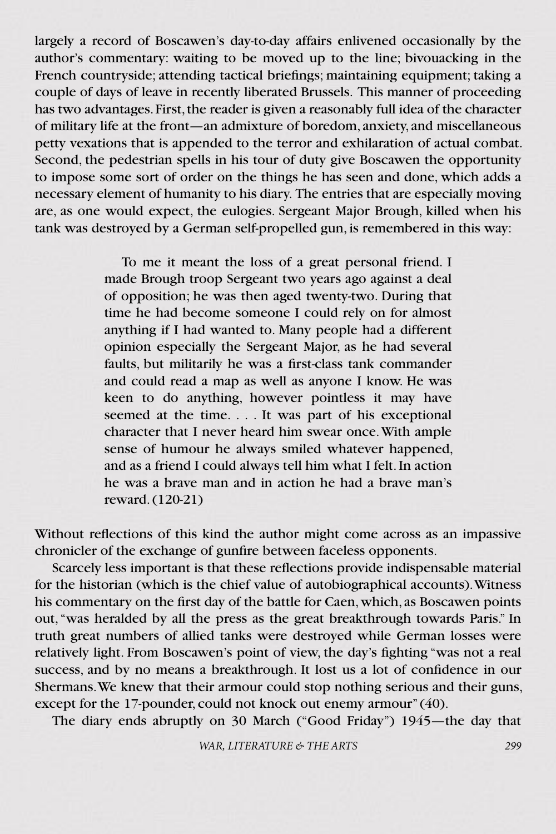largely a record of Boscawen's day-to-day affairs enlivened occasionally by the author's commentary: waiting to be moved up to the line; bivouacking in the French countryside; attending tactical briefings; maintaining equipment; taking a couple of days of leave in recently liberated Brussels. This manner of proceeding has two advantages. First, the reader is given a reasonably full idea of the character of military life at the front—an admixture of boredom, anxiety, and miscellaneous petty vexations that is appended to the terror and exhilaration of actual combat. Second, the pedestrian spells in his tour of duty give Boscawen the opportunity to impose some sort of order on the things he has seen and done, which adds a necessary element of humanity to his diary. The entries that are especially moving are, as one would expect, the eulogies. Sergeant Major Brough, killed when his tank was destroyed by a German self-propelled gun, is remembered in this way:

> To me it meant the loss of a great personal friend. I made Brough troop Sergeant two years ago against a deal of opposition; he was then aged twenty-two. During that time he had become someone I could rely on for almost anything if I had wanted to. Many people had a different opinion especially the Sergeant Major, as he had several faults, but militarily he was a first-class tank commander and could read a map as well as anyone I know. He was keen to do anything, however pointless it may have seemed at the time. . . . It was part of his exceptional character that I never heard him swear once. With ample sense of humour he always smiled whatever happened, and as a friend I could always tell him what I felt. In action he was a brave man and in action he had a brave man's reward. (120-21)

Without reflections of this kind the author might come across as an impassive chronicler of the exchange of gunfire between faceless opponents.

Scarcely less important is that these reflections provide indispensable material for the historian (which is the chief value of autobiographical accounts). Witness his commentary on the first day of the battle for Caen, which, as Boscawen points out, "was heralded by all the press as the great breakthrough towards Paris." In truth great numbers of allied tanks were destroyed while German losses were relatively light. From Boscawen's point of view, the day's fighting "was not a real success, and by no means a breakthrough. It lost us a lot of confidence in our Shermans. We knew that their armour could stop nothing serious and their guns, except for the 17-pounder, could not knock out enemy armour" (40).

The diary ends abruptly on 30 March ("Good Friday") 1945—the day that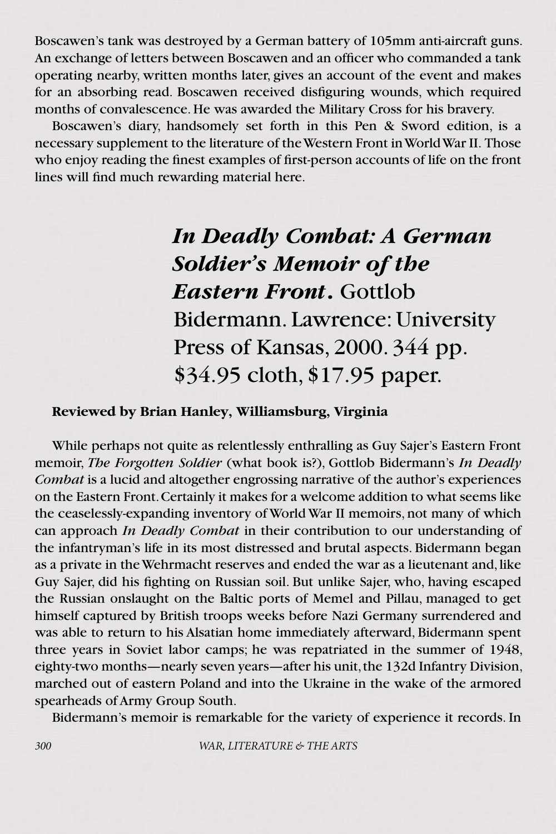Boscawen's tank was destroyed by a German battery of 105mm anti-aircraft guns. An exchange of letters between Boscawen and an officer who commanded a tank operating nearby, written months later, gives an account of the event and makes for an absorbing read. Boscawen received disfiguring wounds, which required months of convalescence. He was awarded the Military Cross for his bravery.

Boscawen's diary, handsomely set forth in this Pen & Sword edition, is a necessary supplement to the literature of the Western Front in World War II. Those who enjoy reading the finest examples of first-person accounts of life on the front lines will find much rewarding material here.

### *In Deadly Combat: A German Soldier's Memoir of the Eastern Front***.** Gottlob Bidermann. Lawrence: University Press of Kansas, 2000. 344 pp. \$34.95 cloth, \$17.95 paper.

### **Reviewed by Brian Hanley, Williamsburg, Virginia**

While perhaps not quite as relentlessly enthralling as Guy Sajer's Eastern Front memoir, *The Forgotten Soldier* (what book is?), Gottlob Bidermann's *In Deadly Combat* is a lucid and altogether engrossing narrative of the author's experiences on the Eastern Front. Certainly it makes for a welcome addition to what seems like the ceaselessly-expanding inventory of World War II memoirs, not many of which can approach *In Deadly Combat* in their contribution to our understanding of the infantryman's life in its most distressed and brutal aspects. Bidermann began as a private in the Wehrmacht reserves and ended the war as a lieutenant and, like Guy Sajer, did his fighting on Russian soil. But unlike Sajer, who, having escaped the Russian onslaught on the Baltic ports of Memel and Pillau, managed to get himself captured by British troops weeks before Nazi Germany surrendered and was able to return to his Alsatian home immediately afterward, Bidermann spent three years in Soviet labor camps; he was repatriated in the summer of 1948, eighty-two months—nearly seven years—after his unit, the 132d Infantry Division, marched out of eastern Poland and into the Ukraine in the wake of the armored spearheads of Army Group South.

Bidermann's memoir is remarkable for the variety of experience it records. In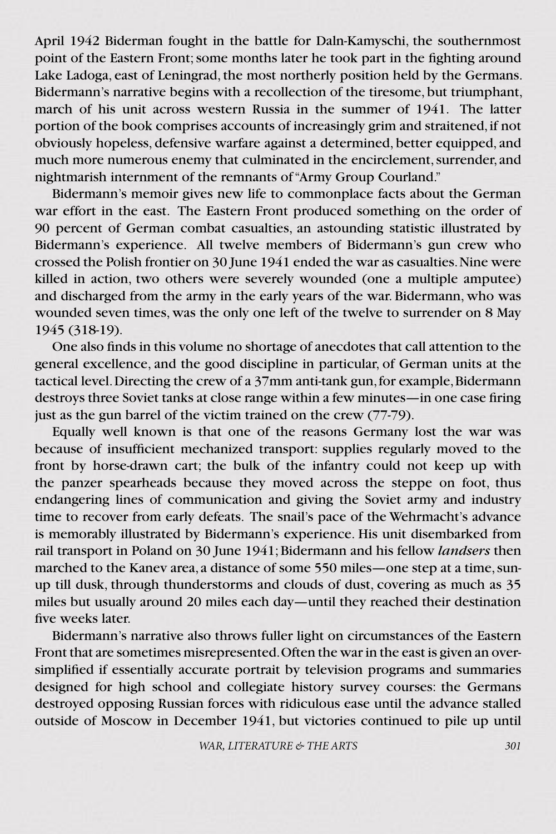April 1942 Biderman fought in the battle for Daln-Kamyschi, the southernmost point of the Eastern Front; some months later he took part in the fighting around Lake Ladoga, east of Leningrad, the most northerly position held by the Germans. Bidermann's narrative begins with a recollection of the tiresome, but triumphant, march of his unit across western Russia in the summer of 1941. The latter portion of the book comprises accounts of increasingly grim and straitened, if not obviously hopeless, defensive warfare against a determined, better equipped, and much more numerous enemy that culminated in the encirclement, surrender, and nightmarish internment of the remnants of "Army Group Courland."

Bidermann's memoir gives new life to commonplace facts about the German war effort in the east. The Eastern Front produced something on the order of 90 percent of German combat casualties, an astounding statistic illustrated by Bidermann's experience. All twelve members of Bidermann's gun crew who crossed the Polish frontier on 30 June 1941 ended the war as casualties. Nine were killed in action, two others were severely wounded (one a multiple amputee) and discharged from the army in the early years of the war. Bidermann, who was wounded seven times, was the only one left of the twelve to surrender on 8 May 1945 (318-19).

One also finds in this volume no shortage of anecdotes that call attention to the general excellence, and the good discipline in particular, of German units at the tactical level. Directing the crew of a 37mm anti-tank gun, for example, Bidermann destroys three Soviet tanks at close range within a few minutes—in one case firing just as the gun barrel of the victim trained on the crew (77-79).

Equally well known is that one of the reasons Germany lost the war was because of insufficient mechanized transport: supplies regularly moved to the front by horse-drawn cart; the bulk of the infantry could not keep up with the panzer spearheads because they moved across the steppe on foot, thus endangering lines of communication and giving the Soviet army and industry time to recover from early defeats. The snail's pace of the Wehrmacht's advance is memorably illustrated by Bidermann's experience. His unit disembarked from rail transport in Poland on 30 June 1941; Bidermann and his fellow *landsers* then marched to the Kanev area, a distance of some 550 miles—one step at a time, sunup till dusk, through thunderstorms and clouds of dust, covering as much as 35 miles but usually around 20 miles each day—until they reached their destination five weeks later.

Bidermann's narrative also throws fuller light on circumstances of the Eastern Front that are sometimes misrepresented. Often the war in the east is given an oversimplified if essentially accurate portrait by television programs and summaries designed for high school and collegiate history survey courses: the Germans destroyed opposing Russian forces with ridiculous ease until the advance stalled outside of Moscow in December 1941, but victories continued to pile up until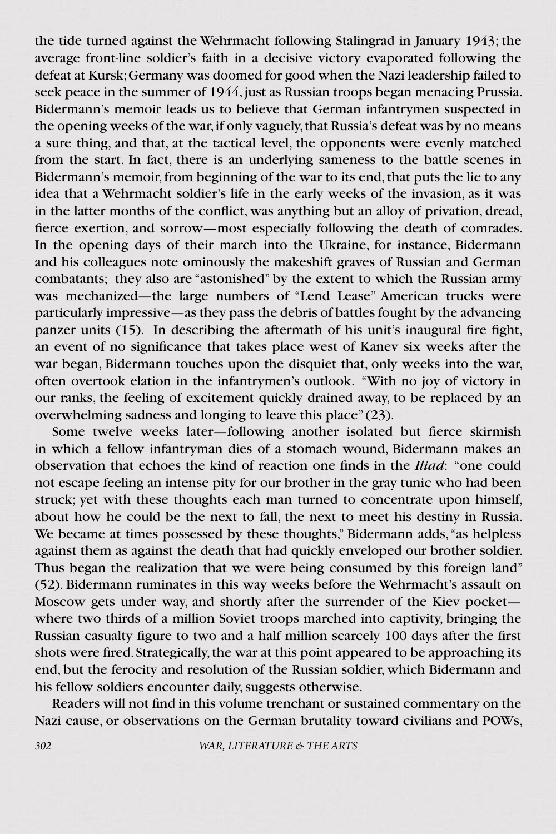the tide turned against the Wehrmacht following Stalingrad in January 1943; the average front-line soldier's faith in a decisive victory evaporated following the defeat at Kursk; Germany was doomed for good when the Nazi leadership failed to seek peace in the summer of 1944, just as Russian troops began menacing Prussia. Bidermann's memoir leads us to believe that German infantrymen suspected in the opening weeks of the war, if only vaguely, that Russia's defeat was by no means a sure thing, and that, at the tactical level, the opponents were evenly matched from the start. In fact, there is an underlying sameness to the battle scenes in Bidermann's memoir, from beginning of the war to its end, that puts the lie to any idea that a Wehrmacht soldier's life in the early weeks of the invasion, as it was in the latter months of the conflict, was anything but an alloy of privation, dread, fierce exertion, and sorrow—most especially following the death of comrades. In the opening days of their march into the Ukraine, for instance, Bidermann and his colleagues note ominously the makeshift graves of Russian and German combatants; they also are "astonished" by the extent to which the Russian army was mechanized—the large numbers of "Lend Lease" American trucks were particularly impressive—as they pass the debris of battles fought by the advancing panzer units (15). In describing the aftermath of his unit's inaugural fire fight, an event of no significance that takes place west of Kanev six weeks after the war began, Bidermann touches upon the disquiet that, only weeks into the war, often overtook elation in the infantrymen's outlook. "With no joy of victory in our ranks, the feeling of excitement quickly drained away, to be replaced by an overwhelming sadness and longing to leave this place" (23).

Some twelve weeks later—following another isolated but fierce skirmish in which a fellow infantryman dies of a stomach wound, Bidermann makes an observation that echoes the kind of reaction one finds in the *Iliad*: "one could not escape feeling an intense pity for our brother in the gray tunic who had been struck; yet with these thoughts each man turned to concentrate upon himself, about how he could be the next to fall, the next to meet his destiny in Russia. We became at times possessed by these thoughts," Bidermann adds, "as helpless against them as against the death that had quickly enveloped our brother soldier. Thus began the realization that we were being consumed by this foreign land" (52). Bidermann ruminates in this way weeks before the Wehrmacht's assault on Moscow gets under way, and shortly after the surrender of the Kiev pocket where two thirds of a million Soviet troops marched into captivity, bringing the Russian casualty figure to two and a half million scarcely 100 days after the first shots were fired. Strategically, the war at this point appeared to be approaching its end, but the ferocity and resolution of the Russian soldier, which Bidermann and his fellow soldiers encounter daily, suggests otherwise.

Readers will not find in this volume trenchant or sustained commentary on the Nazi cause, or observations on the German brutality toward civilians and POWs,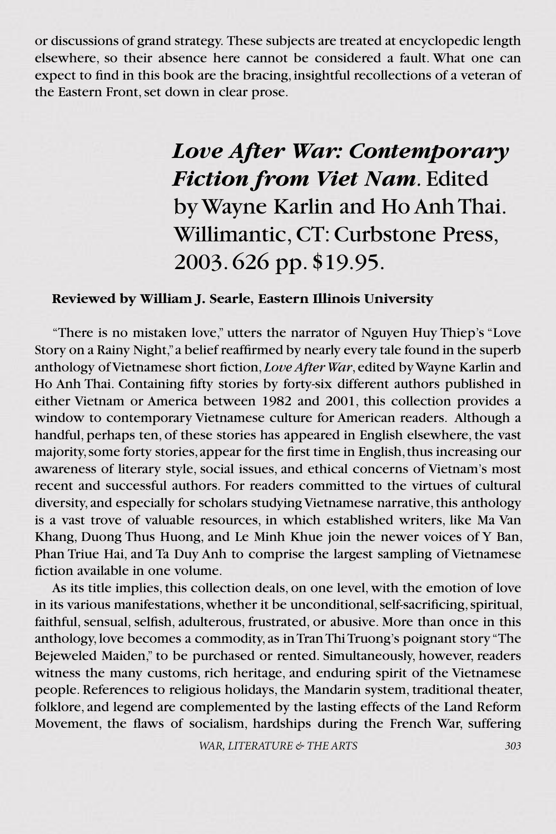or discussions of grand strategy. These subjects are treated at encyclopedic length elsewhere, so their absence here cannot be considered a fault. What one can expect to find in this book are the bracing, insightful recollections of a veteran of the Eastern Front, set down in clear prose.

## *Love After War: Contemporary Fiction from Viet Nam.* Edited by Wayne Karlin and Ho Anh Thai. Willimantic, CT: Curbstone Press, 2003. 626 pp. \$19.95.

### **Reviewed by William J. Searle, Eastern Illinois University**

"There is no mistaken love," utters the narrator of Nguyen Huy Thiep's "Love Story on a Rainy Night," a belief reaffirmed by nearly every tale found in the superb anthology of Vietnamese short fiction, *Love After War*, edited by Wayne Karlin and Ho Anh Thai. Containing fifty stories by forty-six different authors published in either Vietnam or America between 1982 and 2001, this collection provides a window to contemporary Vietnamese culture for American readers. Although a handful, perhaps ten, of these stories has appeared in English elsewhere, the vast majority, some forty stories, appear for the first time in English, thus increasing our awareness of literary style, social issues, and ethical concerns of Vietnam's most recent and successful authors. For readers committed to the virtues of cultural diversity, and especially for scholars studying Vietnamese narrative, this anthology is a vast trove of valuable resources, in which established writers, like Ma Van Khang, Duong Thus Huong, and Le Minh Khue join the newer voices of Y Ban, Phan Triue Hai, and Ta Duy Anh to comprise the largest sampling of Vietnamese fiction available in one volume.

As its title implies, this collection deals, on one level, with the emotion of love in its various manifestations, whether it be unconditional, self-sacrificing, spiritual, faithful, sensual, selfish, adulterous, frustrated, or abusive. More than once in this anthology, love becomes a commodity, as in Tran Thi Truong's poignant story "The Bejeweled Maiden," to be purchased or rented. Simultaneously, however, readers witness the many customs, rich heritage, and enduring spirit of the Vietnamese people. References to religious holidays, the Mandarin system, traditional theater, folklore, and legend are complemented by the lasting effects of the Land Reform Movement, the flaws of socialism, hardships during the French War, suffering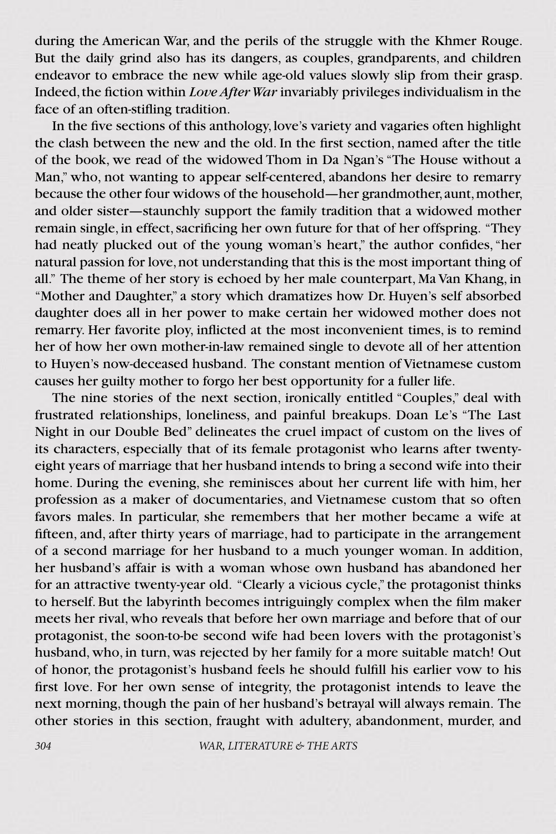during the American War, and the perils of the struggle with the Khmer Rouge. But the daily grind also has its dangers, as couples, grandparents, and children endeavor to embrace the new while age-old values slowly slip from their grasp. Indeed, the fiction within *Love After War* invariably privileges individualism in the face of an often-stifling tradition.

In the five sections of this anthology, love's variety and vagaries often highlight the clash between the new and the old. In the first section, named after the title of the book, we read of the widowed Thom in Da Ngan's "The House without a Man," who, not wanting to appear self-centered, abandons her desire to remarry because the other four widows of the household—her grandmother, aunt, mother, and older sister—staunchly support the family tradition that a widowed mother remain single, in effect, sacrificing her own future for that of her offspring. "They had neatly plucked out of the young woman's heart," the author confides, "her natural passion for love, not understanding that this is the most important thing of all." The theme of her story is echoed by her male counterpart, Ma Van Khang, in "Mother and Daughter," a story which dramatizes how Dr. Huyen's self absorbed daughter does all in her power to make certain her widowed mother does not remarry. Her favorite ploy, inflicted at the most inconvenient times, is to remind her of how her own mother-in-law remained single to devote all of her attention to Huyen's now-deceased husband. The constant mention of Vietnamese custom causes her guilty mother to forgo her best opportunity for a fuller life.

The nine stories of the next section, ironically entitled "Couples," deal with frustrated relationships, loneliness, and painful breakups. Doan Le's "The Last Night in our Double Bed" delineates the cruel impact of custom on the lives of its characters, especially that of its female protagonist who learns after twentyeight years of marriage that her husband intends to bring a second wife into their home. During the evening, she reminisces about her current life with him, her profession as a maker of documentaries, and Vietnamese custom that so often favors males. In particular, she remembers that her mother became a wife at fifteen, and, after thirty years of marriage, had to participate in the arrangement of a second marriage for her husband to a much younger woman. In addition, her husband's affair is with a woman whose own husband has abandoned her for an attractive twenty-year old. "Clearly a vicious cycle," the protagonist thinks to herself. But the labyrinth becomes intriguingly complex when the film maker meets her rival, who reveals that before her own marriage and before that of our protagonist, the soon-to-be second wife had been lovers with the protagonist's husband, who, in turn, was rejected by her family for a more suitable match! Out of honor, the protagonist's husband feels he should fulfill his earlier vow to his first love. For her own sense of integrity, the protagonist intends to leave the next morning, though the pain of her husband's betrayal will always remain. The other stories in this section, fraught with adultery, abandonment, murder, and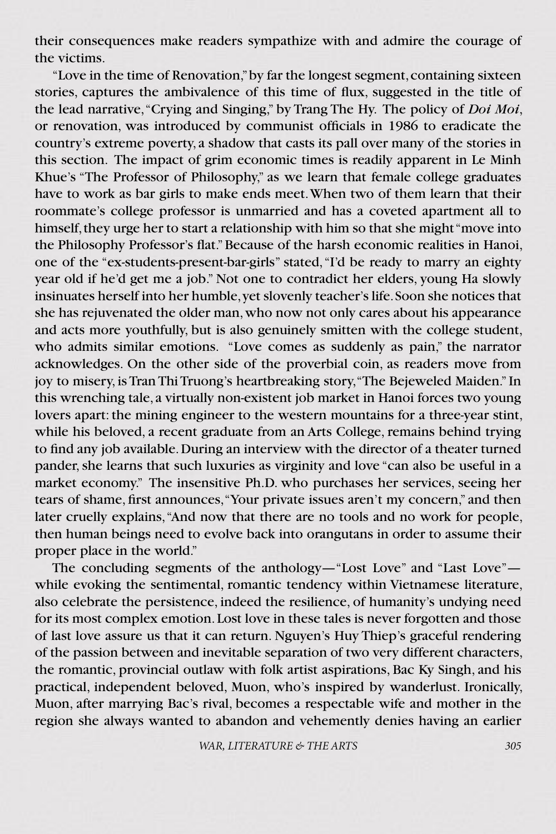their consequences make readers sympathize with and admire the courage of the victims.

"Love in the time of Renovation," by far the longest segment, containing sixteen stories, captures the ambivalence of this time of flux, suggested in the title of the lead narrative, "Crying and Singing," by Trang The Hy. The policy of *Doi Moi*, or renovation, was introduced by communist officials in 1986 to eradicate the country's extreme poverty, a shadow that casts its pall over many of the stories in this section. The impact of grim economic times is readily apparent in Le Minh Khue's "The Professor of Philosophy," as we learn that female college graduates have to work as bar girls to make ends meet. When two of them learn that their roommate's college professor is unmarried and has a coveted apartment all to himself, they urge her to start a relationship with him so that she might "move into the Philosophy Professor's flat." Because of the harsh economic realities in Hanoi, one of the "ex-students-present-bar-girls" stated, "I'd be ready to marry an eighty year old if he'd get me a job." Not one to contradict her elders, young Ha slowly insinuates herself into her humble, yet slovenly teacher's life. Soon she notices that she has rejuvenated the older man, who now not only cares about his appearance and acts more youthfully, but is also genuinely smitten with the college student, who admits similar emotions. "Love comes as suddenly as pain," the narrator acknowledges. On the other side of the proverbial coin, as readers move from joy to misery, is Tran Thi Truong's heartbreaking story, "The Bejeweled Maiden." In this wrenching tale, a virtually non-existent job market in Hanoi forces two young lovers apart: the mining engineer to the western mountains for a three-year stint, while his beloved, a recent graduate from an Arts College, remains behind trying to find any job available. During an interview with the director of a theater turned pander, she learns that such luxuries as virginity and love "can also be useful in a market economy." The insensitive Ph.D. who purchases her services, seeing her tears of shame, first announces, "Your private issues aren't my concern," and then later cruelly explains, "And now that there are no tools and no work for people, then human beings need to evolve back into orangutans in order to assume their proper place in the world."

The concluding segments of the anthology—"Lost Love" and "Last Love" while evoking the sentimental, romantic tendency within Vietnamese literature, also celebrate the persistence, indeed the resilience, of humanity's undying need for its most complex emotion. Lost love in these tales is never forgotten and those of last love assure us that it can return. Nguyen's Huy Thiep's graceful rendering of the passion between and inevitable separation of two very different characters, the romantic, provincial outlaw with folk artist aspirations, Bac Ky Singh, and his practical, independent beloved, Muon, who's inspired by wanderlust. Ironically, Muon, after marrying Bac's rival, becomes a respectable wife and mother in the region she always wanted to abandon and vehemently denies having an earlier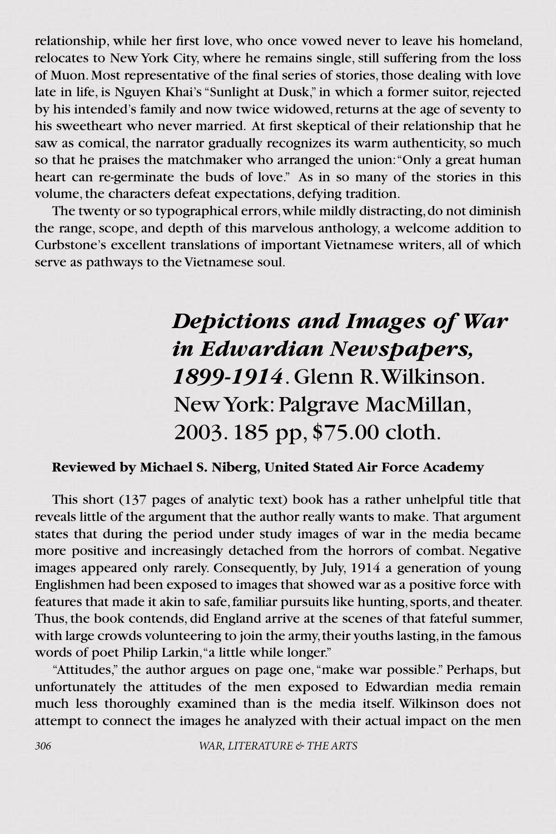relationship, while her first love, who once vowed never to leave his homeland, relocates to New York City, where he remains single, still suffering from the loss of Muon. Most representative of the final series of stories, those dealing with love late in life, is Nguyen Khai's "Sunlight at Dusk," in which a former suitor, rejected by his intended's family and now twice widowed, returns at the age of seventy to his sweetheart who never married. At first skeptical of their relationship that he saw as comical, the narrator gradually recognizes its warm authenticity, so much so that he praises the matchmaker who arranged the union: "Only a great human heart can re-germinate the buds of love." As in so many of the stories in this volume, the characters defeat expectations, defying tradition.

The twenty or so typographical errors, while mildly distracting, do not diminish the range, scope, and depth of this marvelous anthology, a welcome addition to Curbstone's excellent translations of important Vietnamese writers, all of which serve as pathways to the Vietnamese soul.

> *Depictions and Images of War in Edwardian Newspapers, 1899-1914*. Glenn R. Wilkinson. New York: Palgrave MacMillan, 2003. 185 pp, \$75.00 cloth.

### **Reviewed by Michael S. Niberg, United Stated Air Force Academy**

This short (137 pages of analytic text) book has a rather unhelpful title that reveals little of the argument that the author really wants to make. That argument states that during the period under study images of war in the media became more positive and increasingly detached from the horrors of combat. Negative images appeared only rarely. Consequently, by July, 1914 a generation of young Englishmen had been exposed to images that showed war as a positive force with features that made it akin to safe, familiar pursuits like hunting, sports, and theater. Thus, the book contends, did England arrive at the scenes of that fateful summer, with large crowds volunteering to join the army, their youths lasting, in the famous words of poet Philip Larkin, "a little while longer."

"Attitudes," the author argues on page one, "make war possible." Perhaps, but unfortunately the attitudes of the men exposed to Edwardian media remain much less thoroughly examined than is the media itself. Wilkinson does not attempt to connect the images he analyzed with their actual impact on the men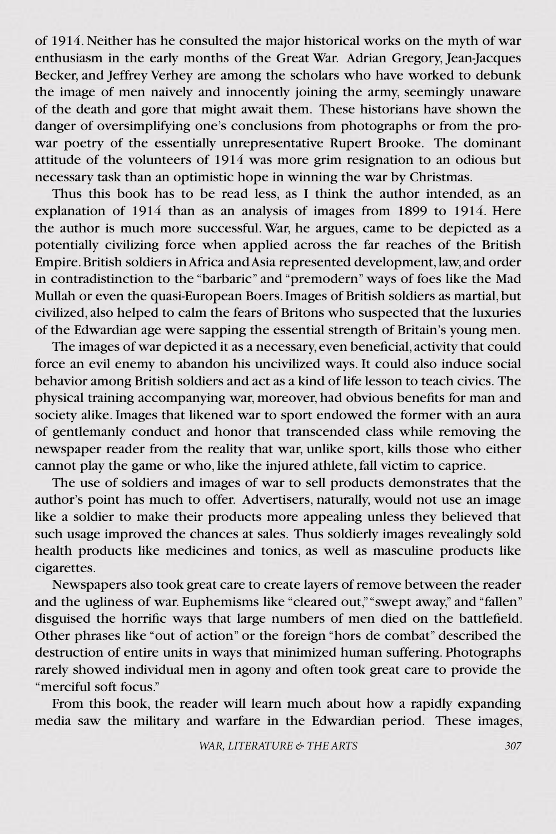of 1914. Neither has he consulted the major historical works on the myth of war enthusiasm in the early months of the Great War. Adrian Gregory, Jean-Jacques Becker, and Jeffrey Verhey are among the scholars who have worked to debunk the image of men naively and innocently joining the army, seemingly unaware of the death and gore that might await them. These historians have shown the danger of oversimplifying one's conclusions from photographs or from the prowar poetry of the essentially unrepresentative Rupert Brooke. The dominant attitude of the volunteers of 1914 was more grim resignation to an odious but necessary task than an optimistic hope in winning the war by Christmas.

Thus this book has to be read less, as I think the author intended, as an explanation of 1914 than as an analysis of images from 1899 to 1914. Here the author is much more successful. War, he argues, came to be depicted as a potentially civilizing force when applied across the far reaches of the British Empire. British soldiers in Africa and Asia represented development, law, and order in contradistinction to the "barbaric" and "premodern" ways of foes like the Mad Mullah or even the quasi-European Boers. Images of British soldiers as martial, but civilized, also helped to calm the fears of Britons who suspected that the luxuries of the Edwardian age were sapping the essential strength of Britain's young men.

The images of war depicted it as a necessary, even beneficial, activity that could force an evil enemy to abandon his uncivilized ways. It could also induce social behavior among British soldiers and act as a kind of life lesson to teach civics. The physical training accompanying war, moreover, had obvious benefits for man and society alike. Images that likened war to sport endowed the former with an aura of gentlemanly conduct and honor that transcended class while removing the newspaper reader from the reality that war, unlike sport, kills those who either cannot play the game or who, like the injured athlete, fall victim to caprice.

The use of soldiers and images of war to sell products demonstrates that the author's point has much to offer. Advertisers, naturally, would not use an image like a soldier to make their products more appealing unless they believed that such usage improved the chances at sales. Thus soldierly images revealingly sold health products like medicines and tonics, as well as masculine products like cigarettes.

Newspapers also took great care to create layers of remove between the reader and the ugliness of war. Euphemisms like "cleared out," "swept away," and "fallen" disguised the horrific ways that large numbers of men died on the battlefield. Other phrases like "out of action" or the foreign "hors de combat" described the destruction of entire units in ways that minimized human suffering. Photographs rarely showed individual men in agony and often took great care to provide the "merciful soft focus."

From this book, the reader will learn much about how a rapidly expanding media saw the military and warfare in the Edwardian period. These images,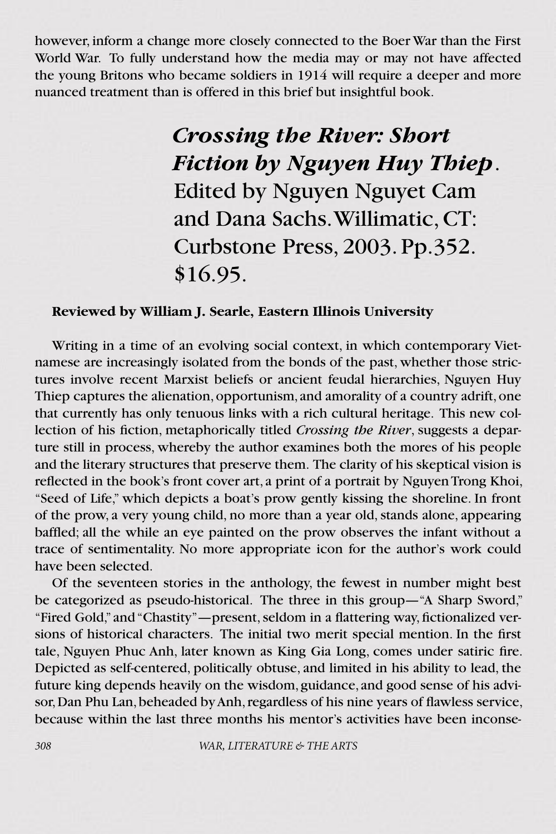however, inform a change more closely connected to the Boer War than the First World War. To fully understand how the media may or may not have affected the young Britons who became soldiers in 1914 will require a deeper and more nuanced treatment than is offered in this brief but insightful book.

> *Crossing the River: Short Fiction by Nguyen Huy Thiep*. Edited by Nguyen Nguyet Cam and Dana Sachs. Willimatic, CT: Curbstone Press, 2003. Pp.352. \$16.95.

### **Reviewed by William J. Searle, Eastern Illinois University**

Writing in a time of an evolving social context, in which contemporary Vietnamese are increasingly isolated from the bonds of the past, whether those strictures involve recent Marxist beliefs or ancient feudal hierarchies, Nguyen Huy Thiep captures the alienation, opportunism, and amorality of a country adrift, one that currently has only tenuous links with a rich cultural heritage. This new collection of his fiction, metaphorically titled *Crossing the River*, suggests a departure still in process, whereby the author examines both the mores of his people and the literary structures that preserve them. The clarity of his skeptical vision is reflected in the book's front cover art, a print of a portrait by Nguyen Trong Khoi, "Seed of Life," which depicts a boat's prow gently kissing the shoreline. In front of the prow, a very young child, no more than a year old, stands alone, appearing baffled; all the while an eye painted on the prow observes the infant without a trace of sentimentality. No more appropriate icon for the author's work could have been selected.

Of the seventeen stories in the anthology, the fewest in number might best be categorized as pseudo-historical. The three in this group—"A Sharp Sword," "Fired Gold," and "Chastity"—present, seldom in a flattering way, fictionalized versions of historical characters. The initial two merit special mention. In the first tale, Nguyen Phuc Anh, later known as King Gia Long, comes under satiric fire. Depicted as self-centered, politically obtuse, and limited in his ability to lead, the future king depends heavily on the wisdom, guidance, and good sense of his advisor, Dan Phu Lan, beheaded by Anh, regardless of his nine years of flawless service, because within the last three months his mentor's activities have been inconse-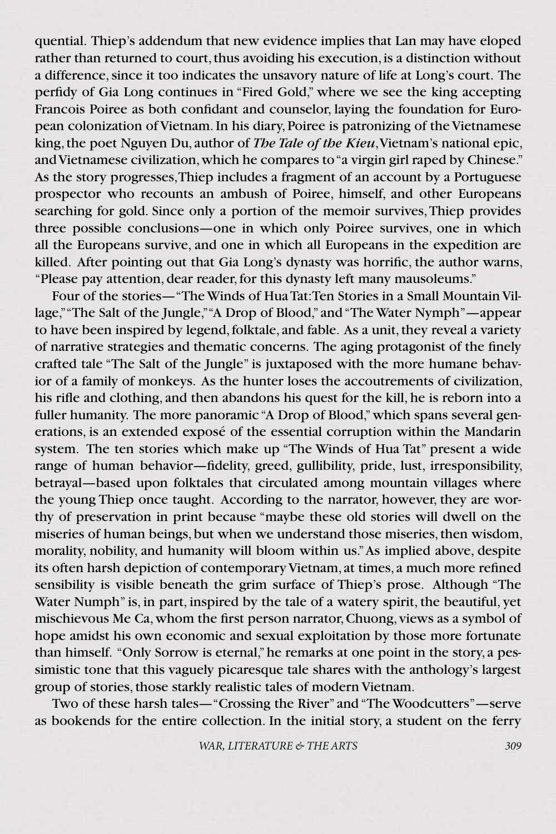quential. Thiep's addendum that new evidence implies that Lan may have eloped rather than returned to court, thus avoiding his execution, is a distinction without a difference, since it too indicates the unsavory nature of life at Long's court. The perfidy of Gia Long continues in "Fired Gold," where we see the king accepting Francois Poiree as both confidant and counselor, laying the foundation for European colonization of Vietnam. In his diary, Poiree is patronizing of the Vietnamese king, the poet Nguyen Du, author of *The Tale of the Kieu*, Vietnam's national epic, and Vietnamese civilization, which he compares to "a virgin girl raped by Chinese." As the story progresses, Thiep includes a fragment of an account by a Portuguese prospector who recounts an ambush of Poiree, himself, and other Europeans searching for gold. Since only a portion of the memoir survives, Thiep provides three possible conclusions—one in which only Poiree survives, one in which all the Europeans survive, and one in which all Europeans in the expedition are killed. After pointing out that Gia Long's dynasty was horrific, the author warns, "Please pay attention, dear reader, for this dynasty left many mausoleums."

Four of the stories—"The Winds of Hua Tat: Ten Stories in a Small Mountain Village," "The Salt of the Jungle," "A Drop of Blood," and "The Water Nymph"—appear to have been inspired by legend, folktale, and fable. As a unit, they reveal a variety of narrative strategies and thematic concerns. The aging protagonist of the finely crafted tale "The Salt of the Jungle" is juxtaposed with the more humane behavior of a family of monkeys. As the hunter loses the accoutrements of civilization, his rifle and clothing, and then abandons his quest for the kill, he is reborn into a fuller humanity. The more panoramic "A Drop of Blood," which spans several generations, is an extended exposé of the essential corruption within the Mandarin system. The ten stories which make up "The Winds of Hua Tat" present a wide range of human behavior—fidelity, greed, gullibility, pride, lust, irresponsibility, betrayal—based upon folktales that circulated among mountain villages where the young Thiep once taught. According to the narrator, however, they are worthy of preservation in print because "maybe these old stories will dwell on the miseries of human beings, but when we understand those miseries, then wisdom, morality, nobility, and humanity will bloom within us." As implied above, despite its often harsh depiction of contemporary Vietnam, at times, a much more refined sensibility is visible beneath the grim surface of Thiep's prose. Although "The Water Numph" is, in part, inspired by the tale of a watery spirit, the beautiful, yet mischievous Me Ca, whom the first person narrator, Chuong, views as a symbol of hope amidst his own economic and sexual exploitation by those more fortunate than himself. "Only Sorrow is eternal," he remarks at one point in the story, a pessimistic tone that this vaguely picaresque tale shares with the anthology's largest group of stories, those starkly realistic tales of modern Vietnam.

Two of these harsh tales—"Crossing the River" and "The Woodcutters"—serve as bookends for the entire collection. In the initial story, a student on the ferry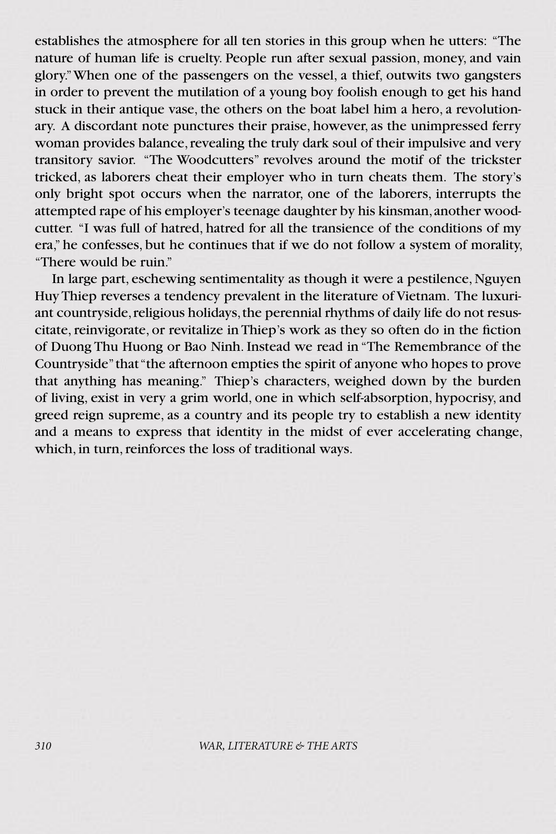establishes the atmosphere for all ten stories in this group when he utters: "The nature of human life is cruelty. People run after sexual passion, money, and vain glory." When one of the passengers on the vessel, a thief, outwits two gangsters in order to prevent the mutilation of a young boy foolish enough to get his hand stuck in their antique vase, the others on the boat label him a hero, a revolutionary. A discordant note punctures their praise, however, as the unimpressed ferry woman provides balance, revealing the truly dark soul of their impulsive and very transitory savior. "The Woodcutters" revolves around the motif of the trickster tricked, as laborers cheat their employer who in turn cheats them. The story's only bright spot occurs when the narrator, one of the laborers, interrupts the attempted rape of his employer's teenage daughter by his kinsman, another woodcutter. "I was full of hatred, hatred for all the transience of the conditions of my era," he confesses, but he continues that if we do not follow a system of morality, "There would be ruin."

In large part, eschewing sentimentality as though it were a pestilence, Nguyen Huy Thiep reverses a tendency prevalent in the literature of Vietnam. The luxuriant countryside, religious holidays, the perennial rhythms of daily life do not resuscitate, reinvigorate, or revitalize in Thiep's work as they so often do in the fiction of Duong Thu Huong or Bao Ninh. Instead we read in "The Remembrance of the Countryside" that "the afternoon empties the spirit of anyone who hopes to prove that anything has meaning." Thiep's characters, weighed down by the burden of living, exist in very a grim world, one in which self-absorption, hypocrisy, and greed reign supreme, as a country and its people try to establish a new identity and a means to express that identity in the midst of ever accelerating change, which, in turn, reinforces the loss of traditional ways.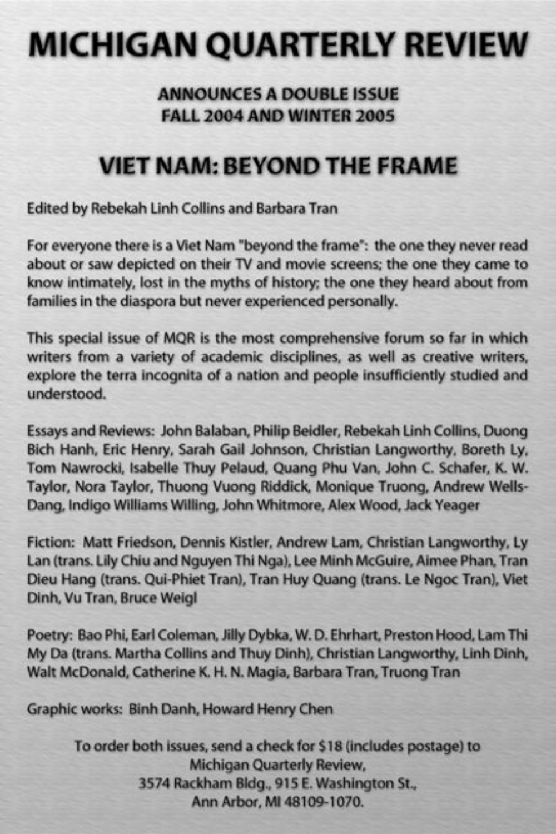# **MICHIGAN QUARTERLY REVIEW**

### ANNOUNCES A DOUBLE ISSUE **FALL 2004 AND WINTER 2005**

### **VIET NAM: BEYOND THE FRAME**

Edited by Rebekah Linh Collins and Barbara Tran

For everyone there is a Viet Nam "beyond the frame": the one they never read about or saw depicted on their TV and movie screens; the one they came to know intimately, lost in the myths of history; the one they heard about from families in the diaspora but never experienced personally.

This special issue of MQR is the most comprehensive forum so far in which writers from a variety of academic disciplines, as well as creative writers, explore the terra incognita of a nation and people insufficiently studied and understood.

Essays and Reviews: John Balaban, Philip Beidler, Rebekah Linh Collins, Duong Bich Hanh, Eric Henry, Sarah Gail Johnson, Christian Langworthy, Boreth Ly, Tom Nawrocki, Isabelle Thuy Pelaud, Quang Phu Van, John C. Schafer, K. W. Taylor, Nora Taylor, Thuong Vuong Riddick, Monique Truong, Andrew Wells-Dang, Indigo Williams Willing, John Whitmore, Alex Wood, Jack Yeager

Fiction: Matt Friedson, Dennis Kistler, Andrew Lam, Christian Langworthy, Ly Lan (trans. Lily Chiu and Nguyen Thi Nga), Lee Minh McGuire, Aimee Phan, Tran Dieu Hang (trans. Qui-Phiet Tran), Tran Huy Quang (trans. Le Ngoc Tran), Viet Dinh, Vu Tran, Bruce Weigl

Poetry: Bao Phi, Earl Coleman, Jilly Dybka, W. D. Ehrhart, Preston Hood, Lam Thi My Da (trans. Martha Collins and Thuy Dinh), Christian Langworthy, Linh Dinh, Walt McDonald, Catherine K. H. N. Magia, Barbara Tran, Truong Tran

Graphic works: Binh Danh, Howard Henry Chen

To order both issues, send a check for \$18 (includes postage) to Michigan Quarterly Review, 3574 Rackham Bldg., 915 E. Washington St., Ann Arbor, MI 48109-1070.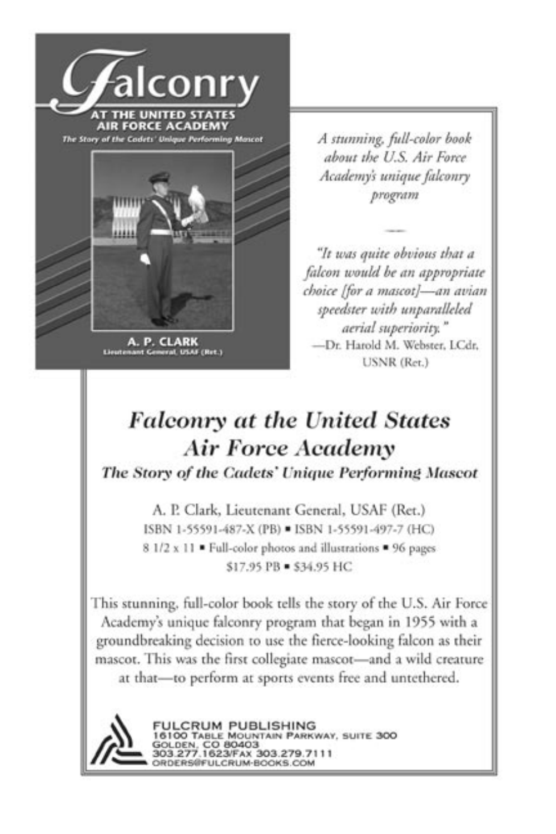

A. P. CLARK<br>Lieutenant General, USAF (Ret.)

A stunning, full-color book about the U.S. Air Force Academy's unique falconry program

"It was quite obvious that a falcon would be an appropriate choice [for a mascot]-an avian speedster with unparalleled aerial superiority." -Dr. Harold M. Webster, LCdr. **USNR** (Ret.)

# **Falconry at the United States Air Force Academy**

The Story of the Cadets' Unique Performing Mascot

A. P. Clark, Lieutenant General, USAF (Ret.) ISBN 1-55591-487-X (PB) = ISBN 1-55591-497-7 (HC) 8 1/2 x 11 · Full-color photos and illustrations • 96 pages \$17.95 PB = \$34.95 HC

This stunning, full-color book tells the story of the U.S. Air Force Academy's unique falconry program that began in 1955 with a groundbreaking decision to use the fierce-looking falcon as their mascot. This was the first collegiate mascot-and a wild creature at that-to perform at sports events free and untethered.



FULCRUM PUBLISHING<br>16100 TABLE MOUNTAIN PARKWAY, SUITE 300 GOLDEN, CO 80403<br>303.277.1623/FAX 303.279.7111 ORDERS@FULCRUM-BOOKS.COM